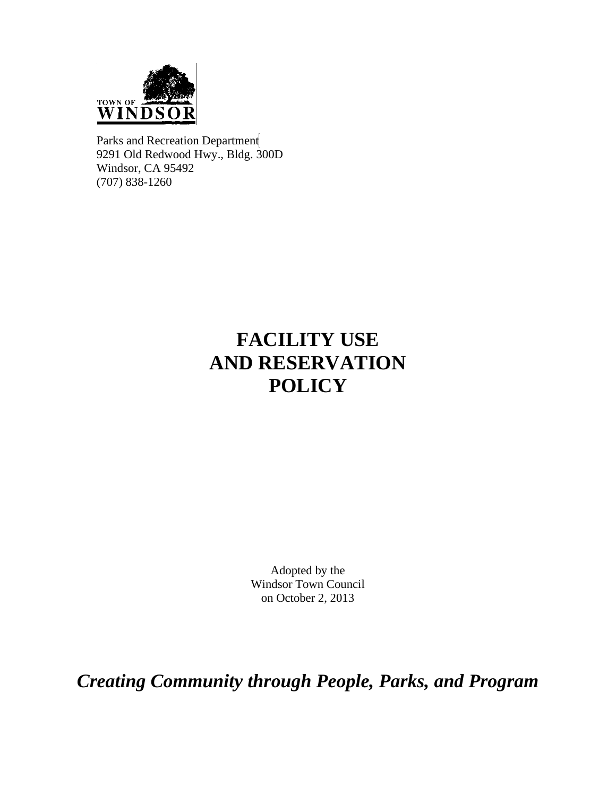

Parks and Recreation Department 9291 Old Redwood Hwy., Bldg. 300D Windsor, CA 95492 (707) 838-1260

# **FACILITY USE AND RESERVATION POLICY**

Adopted by the Windsor Town Council on October 2, 2013

*Creating Community through People, Parks, and Program*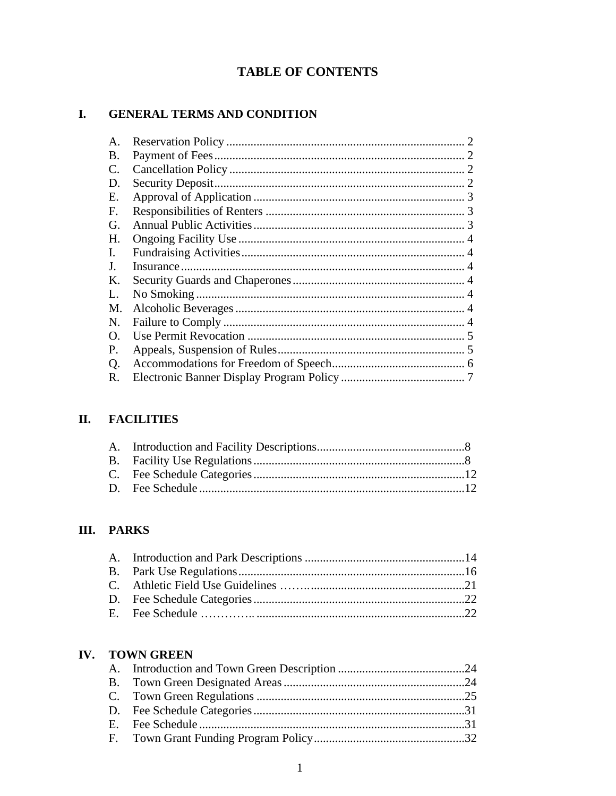# **TABLE OF CONTENTS**

#### GENERAL TERMS AND CONDITION  $\mathbf{I}$ .

| A.             |  |
|----------------|--|
| B.             |  |
| C.             |  |
| D.             |  |
| Ε.             |  |
| F.             |  |
| G.             |  |
| Н.             |  |
| $\mathbf{I}$ . |  |
| J.             |  |
| Κ.             |  |
| L.             |  |
| M.             |  |
| N.             |  |
| Ω.             |  |
| Ρ.             |  |
| Q.             |  |
| R.             |  |

# II. FACILITIES

# **III. PARKS**

# IV. TOWN GREEN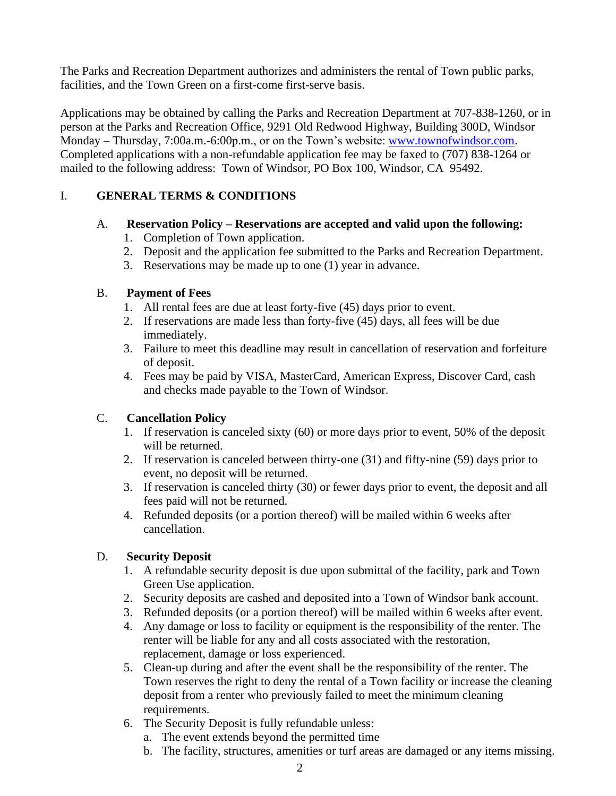The Parks and Recreation Department authorizes and administers the rental of Town public parks, facilities, and the Town Green on a first-come first-serve basis.

Applications may be obtained by calling the Parks and Recreation Department at 707-838-1260, or in person at the Parks and Recreation Office, 9291 Old Redwood Highway, Building 300D, Windsor Monday – Thursday, 7:00a.m.-6:00p.m., or on the Town's website: [www.townofwindsor.com.](http://www.townofwindsor.com/) Completed applications with a non-refundable application fee may be faxed to (707) 838-1264 or mailed to the following address: Town of Windsor, PO Box 100, Windsor, CA 95492.

# I. **GENERAL TERMS & CONDITIONS**

## A. **Reservation Policy – Reservations are accepted and valid upon the following:**

- 1. Completion of Town application.
- 2. Deposit and the application fee submitted to the Parks and Recreation Department.
- 3. Reservations may be made up to one (1) year in advance.

# B. **Payment of Fees**

- 1. All rental fees are due at least forty-five (45) days prior to event.
- 2. If reservations are made less than forty-five (45) days, all fees will be due immediately.
- 3. Failure to meet this deadline may result in cancellation of reservation and forfeiture of deposit.
- 4. Fees may be paid by VISA, MasterCard, American Express, Discover Card, cash and checks made payable to the Town of Windsor.

# C. **Cancellation Policy**

- 1. If reservation is canceled sixty (60) or more days prior to event, 50% of the deposit will be returned.
- 2. If reservation is canceled between thirty-one (31) and fifty-nine (59) days prior to event, no deposit will be returned.
- 3. If reservation is canceled thirty (30) or fewer days prior to event, the deposit and all fees paid will not be returned.
- 4. Refunded deposits (or a portion thereof) will be mailed within 6 weeks after cancellation.

## D. **Security Deposit**

- 1. A refundable security deposit is due upon submittal of the facility, park and Town Green Use application.
- 2. Security deposits are cashed and deposited into a Town of Windsor bank account.
- 3. Refunded deposits (or a portion thereof) will be mailed within 6 weeks after event.
- 4. Any damage or loss to facility or equipment is the responsibility of the renter. The renter will be liable for any and all costs associated with the restoration, replacement, damage or loss experienced.
- 5. Clean-up during and after the event shall be the responsibility of the renter. The Town reserves the right to deny the rental of a Town facility or increase the cleaning deposit from a renter who previously failed to meet the minimum cleaning requirements.
- 6. The Security Deposit is fully refundable unless:
	- a. The event extends beyond the permitted time
	- b. The facility, structures, amenities or turf areas are damaged or any items missing.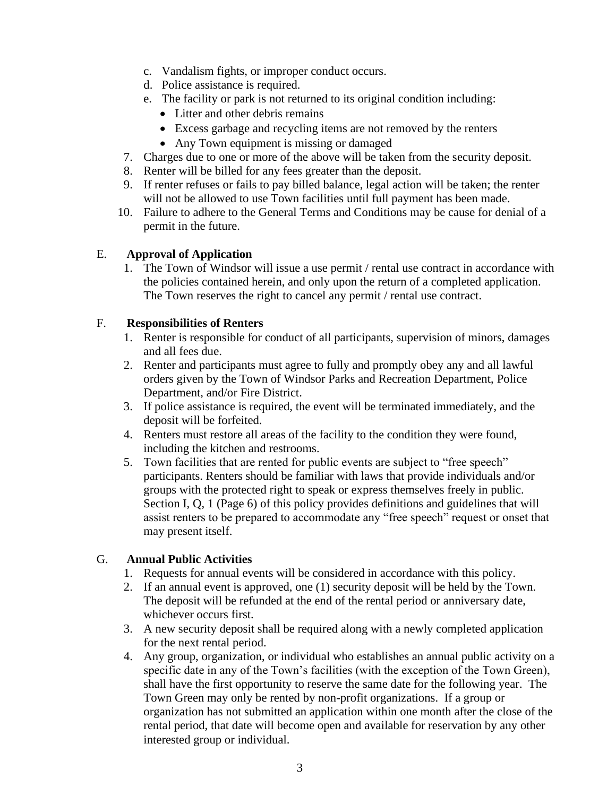- c. Vandalism fights, or improper conduct occurs.
- d. Police assistance is required.
- e. The facility or park is not returned to its original condition including:
	- Litter and other debris remains
	- Excess garbage and recycling items are not removed by the renters
	- Any Town equipment is missing or damaged
- 7. Charges due to one or more of the above will be taken from the security deposit.
- 8. Renter will be billed for any fees greater than the deposit.
- 9. If renter refuses or fails to pay billed balance, legal action will be taken; the renter will not be allowed to use Town facilities until full payment has been made.
- 10. Failure to adhere to the General Terms and Conditions may be cause for denial of a permit in the future.

#### E. **Approval of Application**

1. The Town of Windsor will issue a use permit / rental use contract in accordance with the policies contained herein, and only upon the return of a completed application. The Town reserves the right to cancel any permit / rental use contract.

#### F. **Responsibilities of Renters**

- 1. Renter is responsible for conduct of all participants, supervision of minors, damages and all fees due.
- 2. Renter and participants must agree to fully and promptly obey any and all lawful orders given by the Town of Windsor Parks and Recreation Department, Police Department, and/or Fire District.
- 3. If police assistance is required, the event will be terminated immediately, and the deposit will be forfeited.
- 4. Renters must restore all areas of the facility to the condition they were found, including the kitchen and restrooms.
- 5. Town facilities that are rented for public events are subject to "free speech" participants. Renters should be familiar with laws that provide individuals and/or groups with the protected right to speak or express themselves freely in public. Section I, Q, 1 (Page 6) of this policy provides definitions and guidelines that will assist renters to be prepared to accommodate any "free speech" request or onset that may present itself.

## G. **Annual Public Activities**

- 1. Requests for annual events will be considered in accordance with this policy.
- 2. If an annual event is approved, one (1) security deposit will be held by the Town. The deposit will be refunded at the end of the rental period or anniversary date, whichever occurs first.
- 3. A new security deposit shall be required along with a newly completed application for the next rental period.
- 4. Any group, organization, or individual who establishes an annual public activity on a specific date in any of the Town's facilities (with the exception of the Town Green), shall have the first opportunity to reserve the same date for the following year. The Town Green may only be rented by non-profit organizations. If a group or organization has not submitted an application within one month after the close of the rental period, that date will become open and available for reservation by any other interested group or individual.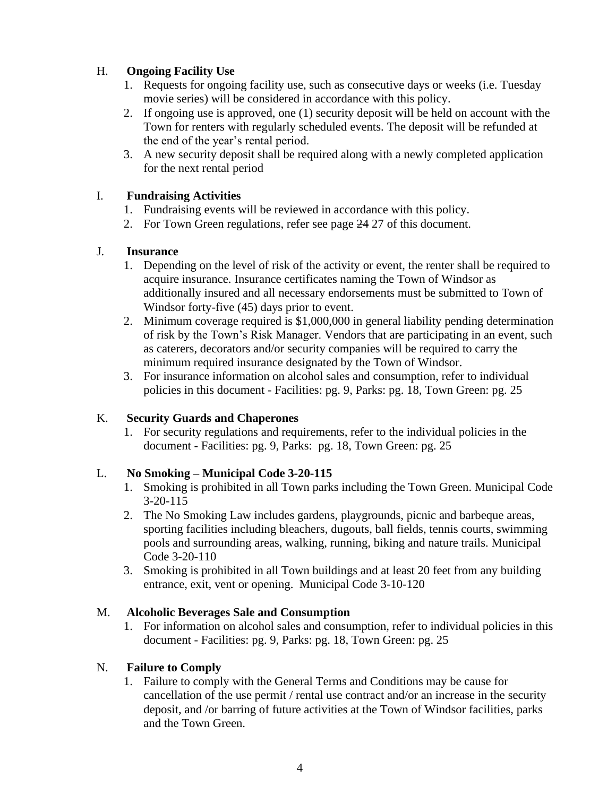# H. **Ongoing Facility Use**

- 1. Requests for ongoing facility use, such as consecutive days or weeks (i.e. Tuesday movie series) will be considered in accordance with this policy.
- 2. If ongoing use is approved, one (1) security deposit will be held on account with the Town for renters with regularly scheduled events. The deposit will be refunded at the end of the year's rental period.
- 3. A new security deposit shall be required along with a newly completed application for the next rental period

#### I. **Fundraising Activities**

- 1. Fundraising events will be reviewed in accordance with this policy.
- 2. For Town Green regulations, refer see page 24 27 of this document.

#### J. **Insurance**

- 1. Depending on the level of risk of the activity or event, the renter shall be required to acquire insurance. Insurance certificates naming the Town of Windsor as additionally insured and all necessary endorsements must be submitted to Town of Windsor forty-five (45) days prior to event.
- 2. Minimum coverage required is \$1,000,000 in general liability pending determination of risk by the Town's Risk Manager. Vendors that are participating in an event, such as caterers, decorators and/or security companies will be required to carry the minimum required insurance designated by the Town of Windsor.
- 3. For insurance information on alcohol sales and consumption, refer to individual policies in this document - Facilities: pg. 9, Parks: pg. 18, Town Green: pg. 25

## K. **Security Guards and Chaperones**

1. For security regulations and requirements, refer to the individual policies in the document - Facilities: pg. 9, Parks: pg. 18, Town Green: pg. 25

## L. **No Smoking – Municipal Code 3-20-115**

- 1. Smoking is prohibited in all Town parks including the Town Green. Municipal Code 3-20-115
- 2. The No Smoking Law includes gardens, playgrounds, picnic and barbeque areas, sporting facilities including bleachers, dugouts, ball fields, tennis courts, swimming pools and surrounding areas, walking, running, biking and nature trails. Municipal Code 3-20-110
- 3. Smoking is prohibited in all Town buildings and at least 20 feet from any building entrance, exit, vent or opening. Municipal Code 3-10-120

#### M. **Alcoholic Beverages Sale and Consumption**

1. For information on alcohol sales and consumption, refer to individual policies in this document - Facilities: pg. 9, Parks: pg. 18, Town Green: pg. 25

#### N. **Failure to Comply**

1. Failure to comply with the General Terms and Conditions may be cause for cancellation of the use permit / rental use contract and/or an increase in the security deposit, and /or barring of future activities at the Town of Windsor facilities, parks and the Town Green.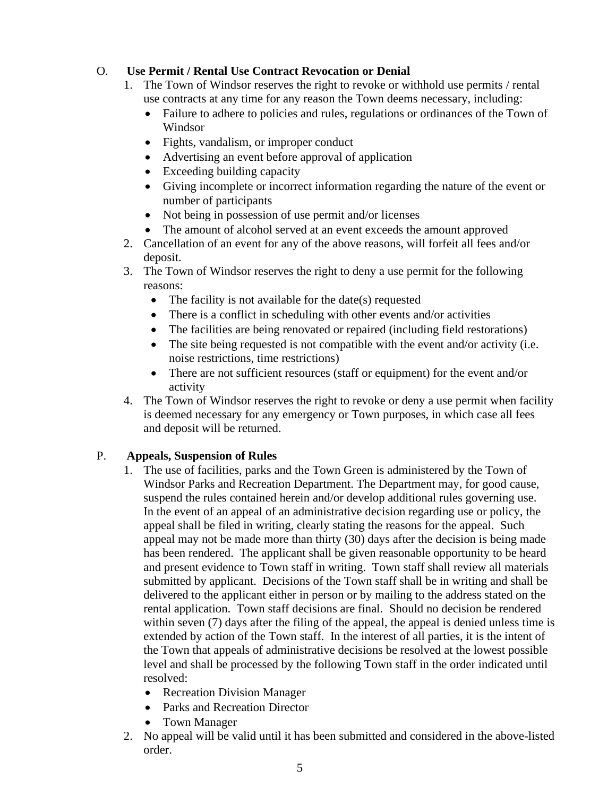## O. **Use Permit / Rental Use Contract Revocation or Denial**

- 1. The Town of Windsor reserves the right to revoke or withhold use permits / rental use contracts at any time for any reason the Town deems necessary, including:
	- Failure to adhere to policies and rules, regulations or ordinances of the Town of Windsor
	- Fights, vandalism, or improper conduct
	- Advertising an event before approval of application
	- Exceeding building capacity
	- Giving incomplete or incorrect information regarding the nature of the event or number of participants
	- Not being in possession of use permit and/or licenses
	- The amount of alcohol served at an event exceeds the amount approved
- 2. Cancellation of an event for any of the above reasons, will forfeit all fees and/or deposit.
- 3. The Town of Windsor reserves the right to deny a use permit for the following reasons:
	- The facility is not available for the date(s) requested
	- There is a conflict in scheduling with other events and/or activities
	- The facilities are being renovated or repaired (including field restorations)
	- The site being requested is not compatible with the event and/or activity (i.e. noise restrictions, time restrictions)
	- There are not sufficient resources (staff or equipment) for the event and/or activity
- 4. The Town of Windsor reserves the right to revoke or deny a use permit when facility is deemed necessary for any emergency or Town purposes, in which case all fees and deposit will be returned.

# P. **Appeals, Suspension of Rules**

- 1. The use of facilities, parks and the Town Green is administered by the Town of Windsor Parks and Recreation Department. The Department may, for good cause, suspend the rules contained herein and/or develop additional rules governing use. In the event of an appeal of an administrative decision regarding use or policy, the appeal shall be filed in writing, clearly stating the reasons for the appeal. Such appeal may not be made more than thirty (30) days after the decision is being made has been rendered. The applicant shall be given reasonable opportunity to be heard and present evidence to Town staff in writing. Town staff shall review all materials submitted by applicant. Decisions of the Town staff shall be in writing and shall be delivered to the applicant either in person or by mailing to the address stated on the rental application. Town staff decisions are final. Should no decision be rendered within seven (7) days after the filing of the appeal, the appeal is denied unless time is extended by action of the Town staff. In the interest of all parties, it is the intent of the Town that appeals of administrative decisions be resolved at the lowest possible level and shall be processed by the following Town staff in the order indicated until resolved:
	- Recreation Division Manager
	- Parks and Recreation Director
	- Town Manager
- 2. No appeal will be valid until it has been submitted and considered in the above-listed order.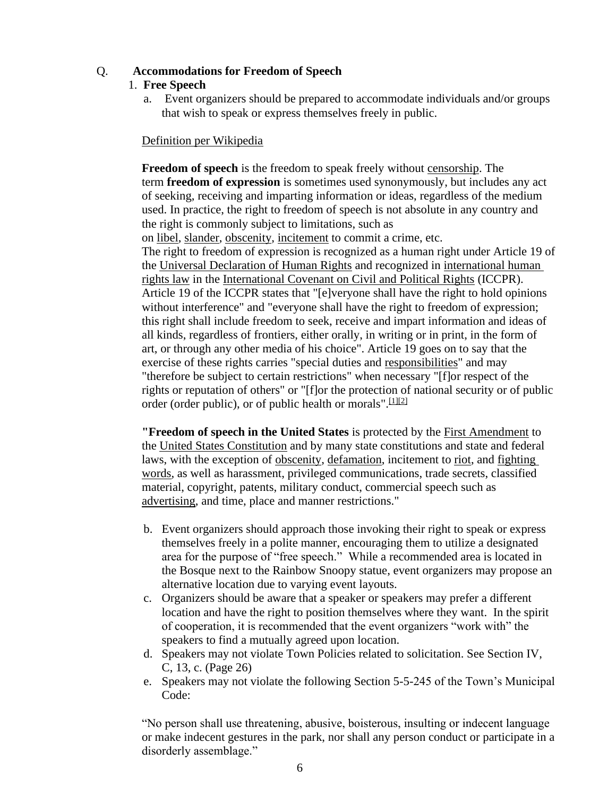#### Q. **Accommodations for Freedom of Speech**

#### 1. **Free Speech**

a. Event organizers should be prepared to accommodate individuals and/or groups that wish to speak or express themselves freely in public.

#### Definition per Wikipedia

**Freedom of speech** is the freedom to speak freely without [censorship.](http://en.wikipedia.org/wiki/Censorship) The term **freedom of expression** is sometimes used synonymously, but includes any act of seeking, receiving and imparting information or ideas, regardless of the medium used. In practice, the right to freedom of speech is not absolute in any country and the right is commonly subject to limitations, such as on [libel,](http://en.wikipedia.org/wiki/Libel) [slander,](http://en.wikipedia.org/wiki/Slander) [obscenity,](http://en.wikipedia.org/wiki/Obscenity) [incitement](http://en.wikipedia.org/wiki/Incitement) to commit a crime, etc. The right to freedom of expression is recognized as a human right under Article 19 of the [Universal Declaration of Human Rights](http://en.wikipedia.org/wiki/Universal_Declaration_of_Human_Rights) and recognized in [international human](http://en.wikipedia.org/wiki/International_human_rights_law)  [rights law](http://en.wikipedia.org/wiki/International_human_rights_law) in the [International Covenant on Civil and Political Rights](http://en.wikipedia.org/wiki/International_Covenant_on_Civil_and_Political_Rights) (ICCPR). Article 19 of the ICCPR states that "[e]veryone shall have the right to hold opinions without interference" and "everyone shall have the right to freedom of expression; this right shall include freedom to seek, receive and impart information and ideas of all kinds, regardless of frontiers, either orally, in writing or in print, in the form of art, or through any other media of his choice". Article 19 goes on to say that the exercise of these rights carries "special duties and [responsibilities"](http://en.wikipedia.org/wiki/Moral_responsibility) and may "therefore be subject to certain restrictions" when necessary "[f]or respect of the rights or reputation of others" or "[f]or the protection of national security or of public order (order public), or of public health or morals".  $[1][2]$  $[1][2]$ 

**"Freedom of speech in the United States** is protected by the [First Amendment](http://en.wikipedia.org/wiki/First_Amendment_to_the_United_States_Constitution) to the [United States Constitution](http://en.wikipedia.org/wiki/United_States_Constitution) and by many state constitutions and state and federal laws, with the exception of [obscenity,](http://en.wikipedia.org/wiki/Obscenity) [defamation,](http://en.wikipedia.org/wiki/Defamation) incitement to [riot,](http://en.wikipedia.org/wiki/Riot) and [fighting](http://en.wikipedia.org/wiki/Fighting_words)  [words,](http://en.wikipedia.org/wiki/Fighting_words) as well as harassment, privileged communications, trade secrets, classified material, copyright, patents, military conduct, commercial speech such as [advertising,](http://en.wikipedia.org/wiki/Advertising) and time, place and manner restrictions."

- b. Event organizers should approach those invoking their right to speak or express themselves freely in a polite manner, encouraging them to utilize a designated area for the purpose of "free speech." While a recommended area is located in the Bosque next to the Rainbow Snoopy statue, event organizers may propose an alternative location due to varying event layouts.
- c. Organizers should be aware that a speaker or speakers may prefer a different location and have the right to position themselves where they want. In the spirit of cooperation, it is recommended that the event organizers "work with" the speakers to find a mutually agreed upon location.
- d. Speakers may not violate Town Policies related to solicitation. See Section IV, C, 13, c. (Page 26)
- e. Speakers may not violate the following Section 5-5-245 of the Town's Municipal Code:

"No person shall use threatening, abusive, boisterous, insulting or indecent language or make indecent gestures in the park, nor shall any person conduct or participate in a disorderly assemblage."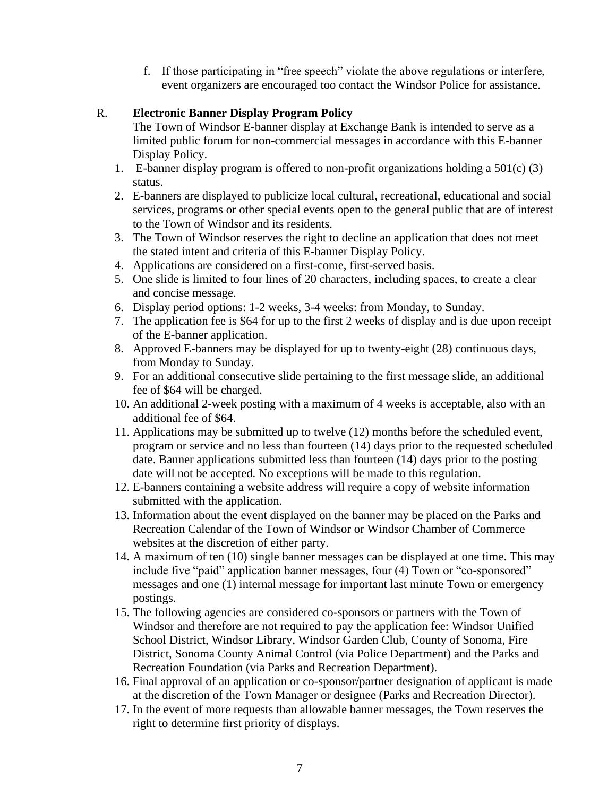f. If those participating in "free speech" violate the above regulations or interfere, event organizers are encouraged too contact the Windsor Police for assistance.

## R. **Electronic Banner Display Program Policy**

The Town of Windsor E-banner display at Exchange Bank is intended to serve as a limited public forum for non-commercial messages in accordance with this E-banner Display Policy.

- 1. E-banner display program is offered to non-profit organizations holding a 501(c) (3) status.
- 2. E-banners are displayed to publicize local cultural, recreational, educational and social services, programs or other special events open to the general public that are of interest to the Town of Windsor and its residents.
- 3. The Town of Windsor reserves the right to decline an application that does not meet the stated intent and criteria of this E-banner Display Policy.
- 4. Applications are considered on a first-come, first-served basis.
- 5. One slide is limited to four lines of 20 characters, including spaces, to create a clear and concise message.
- 6. Display period options: 1-2 weeks, 3-4 weeks: from Monday, to Sunday.
- 7. The application fee is \$64 for up to the first 2 weeks of display and is due upon receipt of the E-banner application.
- 8. Approved E-banners may be displayed for up to twenty-eight (28) continuous days, from Monday to Sunday.
- 9. For an additional consecutive slide pertaining to the first message slide, an additional fee of \$64 will be charged.
- 10. An additional 2-week posting with a maximum of 4 weeks is acceptable, also with an additional fee of \$64.
- 11. Applications may be submitted up to twelve (12) months before the scheduled event, program or service and no less than fourteen (14) days prior to the requested scheduled date. Banner applications submitted less than fourteen (14) days prior to the posting date will not be accepted. No exceptions will be made to this regulation.
- 12. E-banners containing a website address will require a copy of website information submitted with the application.
- 13. Information about the event displayed on the banner may be placed on the Parks and Recreation Calendar of the Town of Windsor or Windsor Chamber of Commerce websites at the discretion of either party.
- 14. A maximum of ten (10) single banner messages can be displayed at one time. This may include five "paid" application banner messages, four (4) Town or "co-sponsored" messages and one (1) internal message for important last minute Town or emergency postings.
- 15. The following agencies are considered co-sponsors or partners with the Town of Windsor and therefore are not required to pay the application fee: Windsor Unified School District, Windsor Library, Windsor Garden Club, County of Sonoma, Fire District, Sonoma County Animal Control (via Police Department) and the Parks and Recreation Foundation (via Parks and Recreation Department).
- 16. Final approval of an application or co-sponsor/partner designation of applicant is made at the discretion of the Town Manager or designee (Parks and Recreation Director).
- 17. In the event of more requests than allowable banner messages, the Town reserves the right to determine first priority of displays.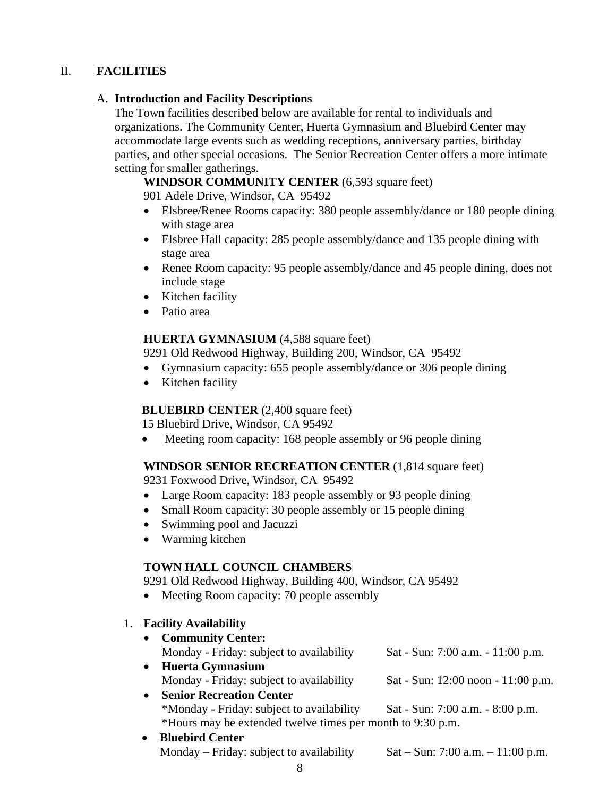## II. **FACILITIES**

#### A. **Introduction and Facility Descriptions**

The Town facilities described below are available for rental to individuals and organizations. The Community Center, Huerta Gymnasium and Bluebird Center may accommodate large events such as wedding receptions, anniversary parties, birthday parties, and other special occasions. The Senior Recreation Center offers a more intimate setting for smaller gatherings.

**WINDSOR COMMUNITY CENTER** (6,593 square feet)

901 Adele Drive, Windsor, CA 95492

- Elsbree/Renee Rooms capacity: 380 people assembly/dance or 180 people dining with stage area
- Elsbree Hall capacity: 285 people assembly/dance and 135 people dining with stage area
- Renee Room capacity: 95 people assembly/dance and 45 people dining, does not include stage
- Kitchen facility
- Patio area

#### **HUERTA GYMNASIUM** (4,588 square feet)

9291 Old Redwood Highway, Building 200, Windsor, CA 95492

- Gymnasium capacity: 655 people assembly/dance or 306 people dining
- Kitchen facility

## **BLUEBIRD CENTER** (2,400 square feet)

15 Bluebird Drive, Windsor, CA 95492

• Meeting room capacity: 168 people assembly or 96 people dining

## **WINDSOR SENIOR RECREATION CENTER** (1,814 square feet)

9231 Foxwood Drive, Windsor, CA 95492

- Large Room capacity: 183 people assembly or 93 people dining
- Small Room capacity: 30 people assembly or 15 people dining
- Swimming pool and Jacuzzi
- Warming kitchen

#### **TOWN HALL COUNCIL CHAMBERS**

9291 Old Redwood Highway, Building 400, Windsor, CA 95492

- Meeting Room capacity: 70 people assembly
- 1. **Facility Availability**

| • Community Center:                      |                                    |
|------------------------------------------|------------------------------------|
| Monday - Friday: subject to availability | Sat - Sun: 7:00 a.m. - 11:00 p.m.  |
| Huerta Gymnasium                         |                                    |
| Monday - Friday: subject to availability | Sat - Sun: 12:00 noon - 11:00 p.m. |
| <b>Senior Recreation Center</b>          |                                    |

- \*Monday Friday: subject to availability Sat Sun: 7:00 a.m. 8:00 p.m. \*Hours may be extended twelve times per month to 9:30 p.m.
- **Bluebird Center** Monday – Friday: subject to availability Sat – Sun:  $7:00$  a.m. –  $11:00$  p.m.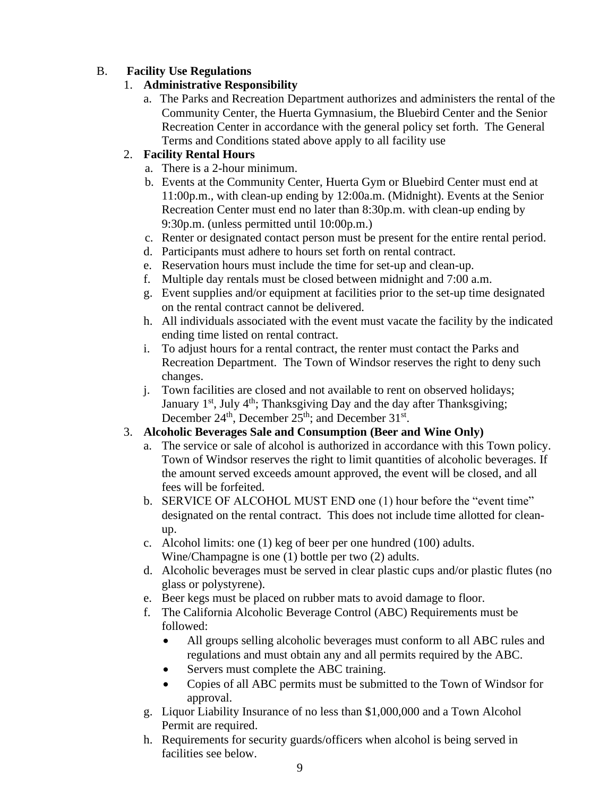# B. **Facility Use Regulations**

## 1. **Administrative Responsibility**

a. The Parks and Recreation Department authorizes and administers the rental of the Community Center, the Huerta Gymnasium, the Bluebird Center and the Senior Recreation Center in accordance with the general policy set forth. The General Terms and Conditions stated above apply to all facility use

# 2. **Facility Rental Hours**

- a. There is a 2-hour minimum.
- b. Events at the Community Center, Huerta Gym or Bluebird Center must end at 11:00p.m., with clean-up ending by 12:00a.m. (Midnight). Events at the Senior Recreation Center must end no later than 8:30p.m. with clean-up ending by 9:30p.m. (unless permitted until 10:00p.m.)
- c. Renter or designated contact person must be present for the entire rental period.
- d. Participants must adhere to hours set forth on rental contract.
- e. Reservation hours must include the time for set-up and clean-up.
- f. Multiple day rentals must be closed between midnight and 7:00 a.m.
- g. Event supplies and/or equipment at facilities prior to the set-up time designated on the rental contract cannot be delivered.
- h. All individuals associated with the event must vacate the facility by the indicated ending time listed on rental contract.
- i. To adjust hours for a rental contract, the renter must contact the Parks and Recreation Department. The Town of Windsor reserves the right to deny such changes.
- j. Town facilities are closed and not available to rent on observed holidays; January  $1^{st}$ , July  $4^{th}$ ; Thanksgiving Day and the day after Thanksgiving; December  $24<sup>th</sup>$ , December  $25<sup>th</sup>$ ; and December  $31<sup>st</sup>$ .

## 3. **Alcoholic Beverages Sale and Consumption (Beer and Wine Only)**

- a. The service or sale of alcohol is authorized in accordance with this Town policy. Town of Windsor reserves the right to limit quantities of alcoholic beverages. If the amount served exceeds amount approved, the event will be closed, and all fees will be forfeited.
- b. SERVICE OF ALCOHOL MUST END one (1) hour before the "event time" designated on the rental contract. This does not include time allotted for cleanup.
- c. Alcohol limits: one (1) keg of beer per one hundred (100) adults. Wine/Champagne is one (1) bottle per two (2) adults.
- d. Alcoholic beverages must be served in clear plastic cups and/or plastic flutes (no glass or polystyrene).
- e. Beer kegs must be placed on rubber mats to avoid damage to floor.
- f. The California Alcoholic Beverage Control (ABC) Requirements must be followed:
	- All groups selling alcoholic beverages must conform to all ABC rules and regulations and must obtain any and all permits required by the ABC.
	- Servers must complete the ABC training.
	- Copies of all ABC permits must be submitted to the Town of Windsor for approval.
- g. Liquor Liability Insurance of no less than \$1,000,000 and a Town Alcohol Permit are required.
- h. Requirements for security guards/officers when alcohol is being served in facilities see below.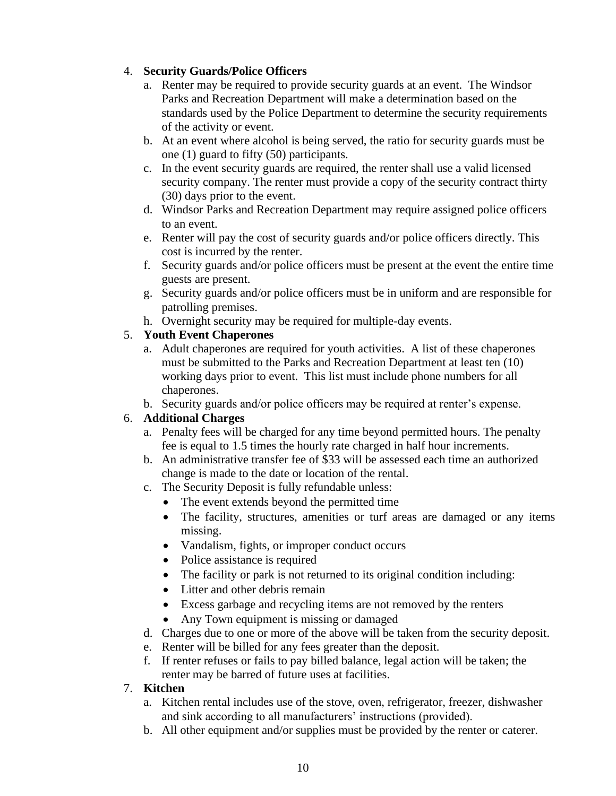# 4. **Security Guards/Police Officers**

- a. Renter may be required to provide security guards at an event. The Windsor Parks and Recreation Department will make a determination based on the standards used by the Police Department to determine the security requirements of the activity or event.
- b. At an event where alcohol is being served, the ratio for security guards must be one (1) guard to fifty (50) participants.
- c. In the event security guards are required, the renter shall use a valid licensed security company. The renter must provide a copy of the security contract thirty (30) days prior to the event.
- d. Windsor Parks and Recreation Department may require assigned police officers to an event.
- e. Renter will pay the cost of security guards and/or police officers directly. This cost is incurred by the renter.
- f. Security guards and/or police officers must be present at the event the entire time guests are present.
- g. Security guards and/or police officers must be in uniform and are responsible for patrolling premises.
- h. Overnight security may be required for multiple-day events.

# 5. **Youth Event Chaperones**

- a. Adult chaperones are required for youth activities. A list of these chaperones must be submitted to the Parks and Recreation Department at least ten (10) working days prior to event. This list must include phone numbers for all chaperones.
- b. Security guards and/or police officers may be required at renter's expense.

# 6. **Additional Charges**

- a. Penalty fees will be charged for any time beyond permitted hours. The penalty fee is equal to 1.5 times the hourly rate charged in half hour increments.
- b. An administrative transfer fee of \$33 will be assessed each time an authorized change is made to the date or location of the rental.
- c. The Security Deposit is fully refundable unless:
	- The event extends beyond the permitted time
	- The facility, structures, amenities or turf areas are damaged or any items missing.
	- Vandalism, fights, or improper conduct occurs
	- Police assistance is required
	- The facility or park is not returned to its original condition including:
	- Litter and other debris remain
	- Excess garbage and recycling items are not removed by the renters
	- Any Town equipment is missing or damaged
- d. Charges due to one or more of the above will be taken from the security deposit.
- e. Renter will be billed for any fees greater than the deposit.
- f. If renter refuses or fails to pay billed balance, legal action will be taken; the renter may be barred of future uses at facilities.

# 7. **Kitchen**

- a. Kitchen rental includes use of the stove, oven, refrigerator, freezer, dishwasher and sink according to all manufacturers' instructions (provided).
- b. All other equipment and/or supplies must be provided by the renter or caterer.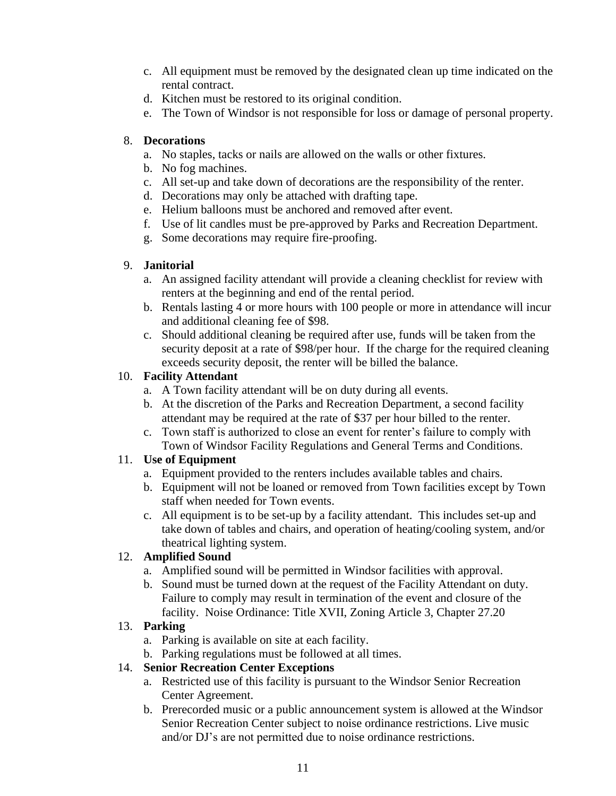- c. All equipment must be removed by the designated clean up time indicated on the rental contract.
- d. Kitchen must be restored to its original condition.
- e. The Town of Windsor is not responsible for loss or damage of personal property.

## 8. **Decorations**

- a. No staples, tacks or nails are allowed on the walls or other fixtures.
- b. No fog machines.
- c. All set-up and take down of decorations are the responsibility of the renter.
- d. Decorations may only be attached with drafting tape.
- e. Helium balloons must be anchored and removed after event.
- f. Use of lit candles must be pre-approved by Parks and Recreation Department.
- g. Some decorations may require fire-proofing.

# 9. **Janitorial**

- a. An assigned facility attendant will provide a cleaning checklist for review with renters at the beginning and end of the rental period.
- b. Rentals lasting 4 or more hours with 100 people or more in attendance will incur and additional cleaning fee of \$98.
- c. Should additional cleaning be required after use, funds will be taken from the security deposit at a rate of \$98/per hour. If the charge for the required cleaning exceeds security deposit, the renter will be billed the balance.

# 10. **Facility Attendant**

- a. A Town facility attendant will be on duty during all events.
- b. At the discretion of the Parks and Recreation Department, a second facility attendant may be required at the rate of \$37 per hour billed to the renter.
- c. Town staff is authorized to close an event for renter's failure to comply with Town of Windsor Facility Regulations and General Terms and Conditions.

# 11. **Use of Equipment**

- a. Equipment provided to the renters includes available tables and chairs.
- b. Equipment will not be loaned or removed from Town facilities except by Town staff when needed for Town events.
- c. All equipment is to be set-up by a facility attendant. This includes set-up and take down of tables and chairs, and operation of heating/cooling system, and/or theatrical lighting system.

# 12. **Amplified Sound**

- a. Amplified sound will be permitted in Windsor facilities with approval.
- b. Sound must be turned down at the request of the Facility Attendant on duty. Failure to comply may result in termination of the event and closure of the facility. Noise Ordinance: Title XVII, Zoning Article 3, Chapter 27.20

# 13. **Parking**

- a. Parking is available on site at each facility.
- b. Parking regulations must be followed at all times.

# 14. **Senior Recreation Center Exceptions**

- a. Restricted use of this facility is pursuant to the Windsor Senior Recreation Center Agreement.
- b. Prerecorded music or a public announcement system is allowed at the Windsor Senior Recreation Center subject to noise ordinance restrictions. Live music and/or DJ's are not permitted due to noise ordinance restrictions.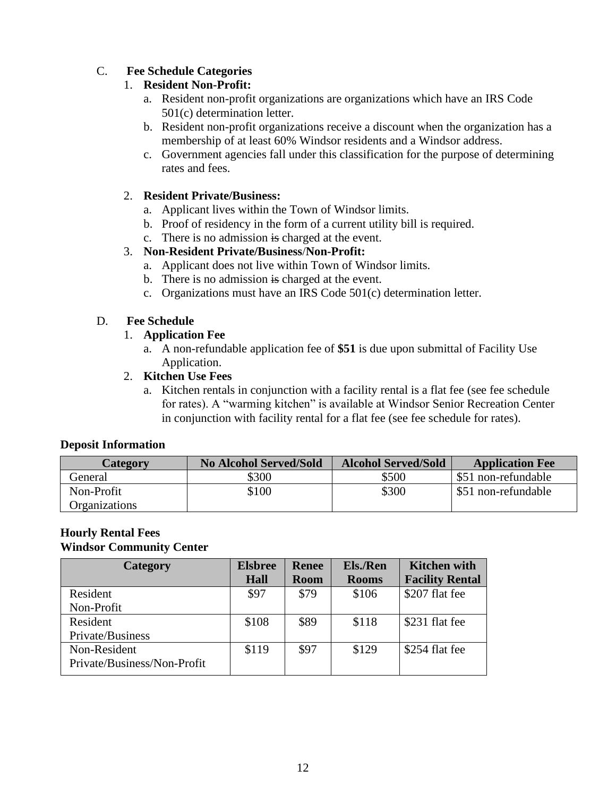# C. **Fee Schedule Categories**

#### 1. **Resident Non-Profit:**

- a. Resident non-profit organizations are organizations which have an IRS Code 501(c) determination letter.
- b. Resident non-profit organizations receive a discount when the organization has a membership of at least 60% Windsor residents and a Windsor address.
- c. Government agencies fall under this classification for the purpose of determining rates and fees.

#### 2. **Resident Private/Business:**

- a. Applicant lives within the Town of Windsor limits.
- b. Proof of residency in the form of a current utility bill is required.
- c. There is no admission is charged at the event.

#### 3. **Non-Resident Private/Business**/**Non-Profit:**

- a. Applicant does not live within Town of Windsor limits.
- b. There is no admission is charged at the event.
- c. Organizations must have an IRS Code 501(c) determination letter.

#### D. **Fee Schedule**

#### 1. **Application Fee**

a. A non-refundable application fee of **\$51** is due upon submittal of Facility Use Application.

#### 2. **Kitchen Use Fees**

a. Kitchen rentals in conjunction with a facility rental is a flat fee (see fee schedule for rates). A "warming kitchen" is available at Windsor Senior Recreation Center in conjunction with facility rental for a flat fee (see fee schedule for rates).

#### **Deposit Information**

| Category             | <b>No Alcohol Served/Sold</b> | <b>Alcohol Served/Sold</b> | <b>Application Fee</b> |
|----------------------|-------------------------------|----------------------------|------------------------|
| General              | \$300                         | \$500                      | \$51 non-refundable    |
| Non-Profit           | \$100                         | \$300                      | \$51 non-refundable    |
| <b>Organizations</b> |                               |                            |                        |

#### **Hourly Rental Fees Windsor Community Center**

| Category                    | <b>Elsbree</b> | <b>Renee</b> | Els./Ren     | <b>Kitchen with</b>    |
|-----------------------------|----------------|--------------|--------------|------------------------|
|                             | <b>Hall</b>    | <b>Room</b>  | <b>Rooms</b> | <b>Facility Rental</b> |
| Resident                    | \$97           | \$79         | \$106        | \$207 flat fee         |
| Non-Profit                  |                |              |              |                        |
| Resident                    | \$108          | \$89         | \$118        | \$231 flat fee         |
| Private/Business            |                |              |              |                        |
| Non-Resident                | \$119          | \$97         | \$129        | \$254 flat fee         |
| Private/Business/Non-Profit |                |              |              |                        |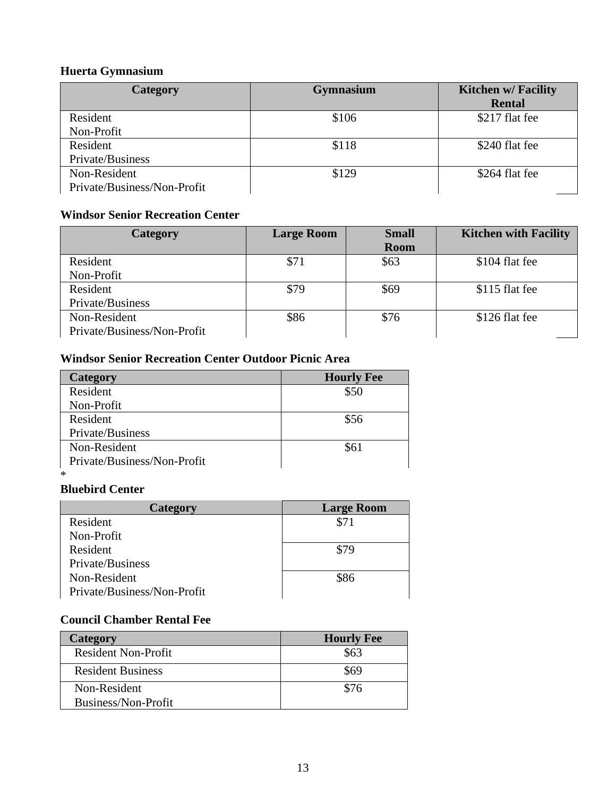# **Huerta Gymnasium**

| <b>Category</b>             | <b>Gymnasium</b> | <b>Kitchen w/ Facility</b> |
|-----------------------------|------------------|----------------------------|
|                             |                  | <b>Rental</b>              |
| Resident                    | \$106            | \$217 flat fee             |
| Non-Profit                  |                  |                            |
| Resident                    | \$118            | \$240 flat fee             |
| Private/Business            |                  |                            |
| Non-Resident                | \$129            | \$264 flat fee             |
| Private/Business/Non-Profit |                  |                            |

# **Windsor Senior Recreation Center**

| <b>Category</b>             | <b>Large Room</b> | <b>Small</b> | <b>Kitchen with Facility</b> |
|-----------------------------|-------------------|--------------|------------------------------|
|                             |                   | <b>Room</b>  |                              |
| Resident                    | \$71              | \$63         | \$104 flat fee               |
| Non-Profit                  |                   |              |                              |
| Resident                    | \$79              | \$69         | \$115 flat fee               |
| Private/Business            |                   |              |                              |
| Non-Resident                | \$86              | \$76         | \$126 flat fee               |
| Private/Business/Non-Profit |                   |              |                              |

# **Windsor Senior Recreation Center Outdoor Picnic Area**

| Category                    | <b>Hourly Fee</b> |
|-----------------------------|-------------------|
| Resident                    | \$50              |
| Non-Profit                  |                   |
| Resident                    | \$56              |
| Private/Business            |                   |
| Non-Resident                | \$61              |
| Private/Business/Non-Profit |                   |
| ∗                           |                   |

# **Bluebird Center**

| Category                    | <b>Large Room</b> |
|-----------------------------|-------------------|
| Resident                    | \$71              |
| Non-Profit                  |                   |
| Resident                    | \$79              |
| Private/Business            |                   |
| Non-Resident                | \$86              |
| Private/Business/Non-Profit |                   |

# **Council Chamber Rental Fee**

| <b>Category</b>            | <b>Hourly Fee</b> |
|----------------------------|-------------------|
| <b>Resident Non-Profit</b> | \$63              |
| <b>Resident Business</b>   | \$69              |
| Non-Resident               | \$76              |
| Business/Non-Profit        |                   |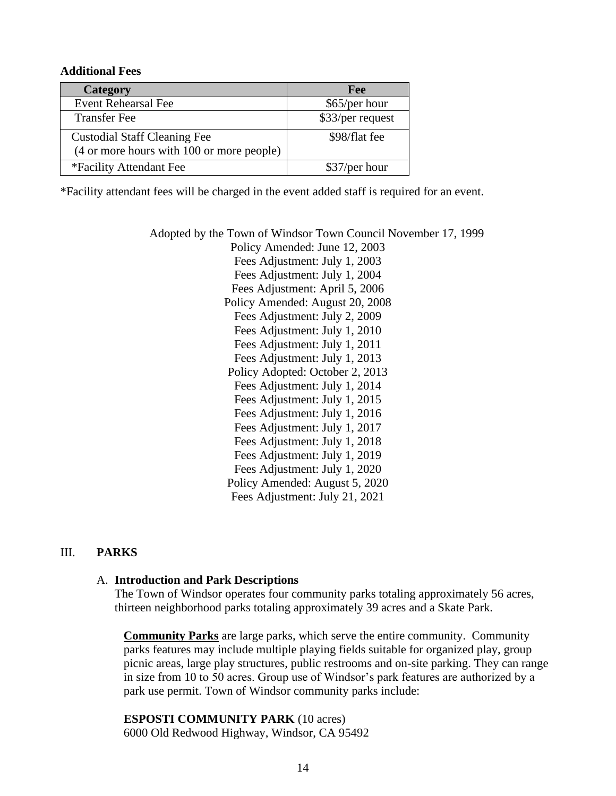#### **Additional Fees**

| Category                                  | Fee              |
|-------------------------------------------|------------------|
| <b>Event Rehearsal Fee</b>                | \$65/per hour    |
| <b>Transfer Fee</b>                       | \$33/per request |
| <b>Custodial Staff Cleaning Fee</b>       | \$98/flat fee    |
| (4 or more hours with 100 or more people) |                  |
| *Facility Attendant Fee                   | \$37/per hour    |

\*Facility attendant fees will be charged in the event added staff is required for an event.

Adopted by the Town of Windsor Town Council November 17, 1999 Policy Amended: June 12, 2003 Fees Adjustment: July 1, 2003 Fees Adjustment: July 1, 2004 Fees Adjustment: April 5, 2006 Policy Amended: August 20, 2008 Fees Adjustment: July 2, 2009 Fees Adjustment: July 1, 2010 Fees Adjustment: July 1, 2011 Fees Adjustment: July 1, 2013 Policy Adopted: October 2, 2013 Fees Adjustment: July 1, 2014 Fees Adjustment: July 1, 2015 Fees Adjustment: July 1, 2016 Fees Adjustment: July 1, 2017 Fees Adjustment: July 1, 2018 Fees Adjustment: July 1, 2019 Fees Adjustment: July 1, 2020 Policy Amended: August 5, 2020 Fees Adjustment: July 21, 2021

#### III. **PARKS**

#### A. **Introduction and Park Descriptions**

The Town of Windsor operates four community parks totaling approximately 56 acres, thirteen neighborhood parks totaling approximately 39 acres and a Skate Park.

**Community Parks** are large parks, which serve the entire community. Community parks features may include multiple playing fields suitable for organized play, group picnic areas, large play structures, public restrooms and on-site parking. They can range in size from 10 to 50 acres. Group use of Windsor's park features are authorized by a park use permit. Town of Windsor community parks include:

**ESPOSTI COMMUNITY PARK** (10 acres) 6000 Old Redwood Highway, Windsor, CA 95492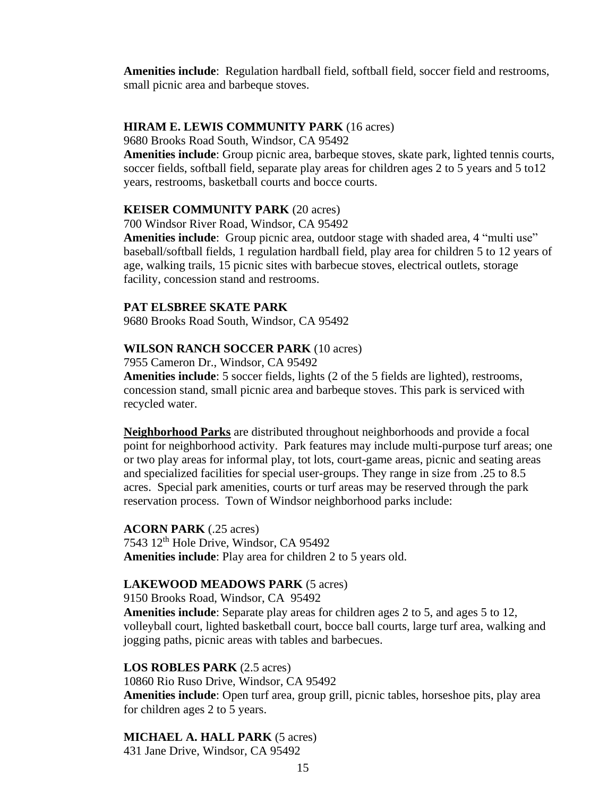**Amenities include**: Regulation hardball field, softball field, soccer field and restrooms, small picnic area and barbeque stoves.

#### **HIRAM E. LEWIS COMMUNITY PARK** (16 acres)

9680 Brooks Road South, Windsor, CA 95492

**Amenities include**: Group picnic area, barbeque stoves, skate park, lighted tennis courts, soccer fields, softball field, separate play areas for children ages 2 to 5 years and 5 to12 years, restrooms, basketball courts and bocce courts.

#### **KEISER COMMUNITY PARK** (20 acres)

700 Windsor River Road, Windsor, CA 95492

**Amenities include**: Group picnic area, outdoor stage with shaded area, 4 "multi use" baseball/softball fields, 1 regulation hardball field, play area for children 5 to 12 years of age, walking trails, 15 picnic sites with barbecue stoves, electrical outlets, storage facility, concession stand and restrooms.

#### **PAT ELSBREE SKATE PARK**

9680 Brooks Road South, Windsor, CA 95492

#### **WILSON RANCH SOCCER PARK** (10 acres)

7955 Cameron Dr., Windsor, CA 95492

**Amenities include**: 5 soccer fields, lights (2 of the 5 fields are lighted), restrooms, concession stand, small picnic area and barbeque stoves. This park is serviced with recycled water.

**Neighborhood Parks** are distributed throughout neighborhoods and provide a focal point for neighborhood activity. Park features may include multi-purpose turf areas; one or two play areas for informal play, tot lots, court-game areas, picnic and seating areas and specialized facilities for special user-groups. They range in size from .25 to 8.5 acres. Special park amenities, courts or turf areas may be reserved through the park reservation process. Town of Windsor neighborhood parks include:

#### **ACORN PARK** (.25 acres)

7543 12th Hole Drive, Windsor, CA 95492 **Amenities include**: Play area for children 2 to 5 years old.

#### **LAKEWOOD MEADOWS PARK** (5 acres)

9150 Brooks Road, Windsor, CA 95492

**Amenities include**: Separate play areas for children ages 2 to 5, and ages 5 to 12, volleyball court, lighted basketball court, bocce ball courts, large turf area, walking and jogging paths, picnic areas with tables and barbecues.

#### **LOS ROBLES PARK** (2.5 acres)

10860 Rio Ruso Drive, Windsor, CA 95492 **Amenities include**: Open turf area, group grill, picnic tables, horseshoe pits, play area for children ages 2 to 5 years.

# **MICHAEL A. HALL PARK** (5 acres)

431 Jane Drive, Windsor, CA 95492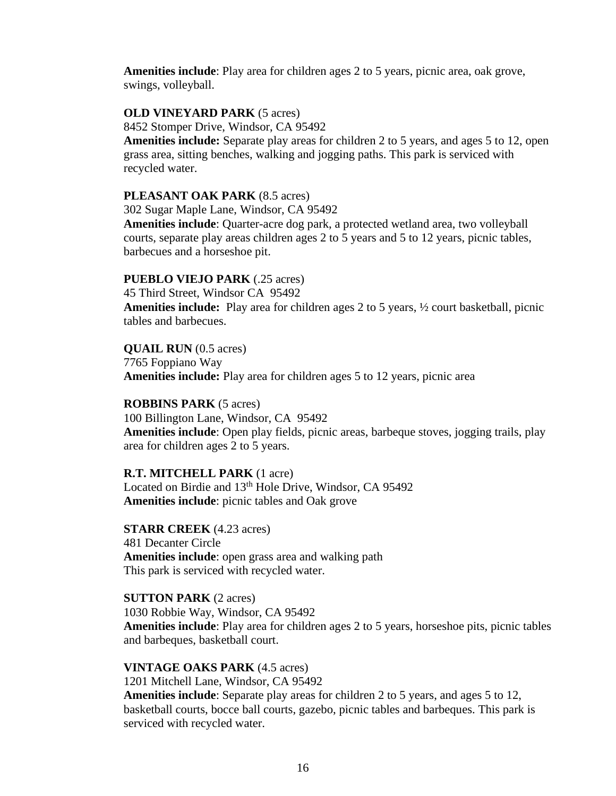**Amenities include**: Play area for children ages 2 to 5 years, picnic area, oak grove, swings, volleyball.

#### **OLD VINEYARD PARK** (5 acres)

8452 Stomper Drive, Windsor, CA 95492

**Amenities include:** Separate play areas for children 2 to 5 years, and ages 5 to 12, open grass area, sitting benches, walking and jogging paths. This park is serviced with recycled water.

#### **PLEASANT OAK PARK** (8.5 acres)

302 Sugar Maple Lane, Windsor, CA 95492

**Amenities include**: Quarter-acre dog park, a protected wetland area, two volleyball courts, separate play areas children ages 2 to 5 years and 5 to 12 years, picnic tables, barbecues and a horseshoe pit.

#### **PUEBLO VIEJO PARK** (.25 acres)

45 Third Street, Windsor CA 95492

**Amenities include:** Play area for children ages 2 to 5 years, ½ court basketball, picnic tables and barbecues.

#### **QUAIL RUN** (0.5 acres)

7765 Foppiano Way **Amenities include:** Play area for children ages 5 to 12 years, picnic area

#### **ROBBINS PARK** (5 acres)

100 Billington Lane, Windsor, CA 95492 **Amenities include**: Open play fields, picnic areas, barbeque stoves, jogging trails, play area for children ages 2 to 5 years.

#### **R.T. MITCHELL PARK** (1 acre)

Located on Birdie and 13<sup>th</sup> Hole Drive, Windsor, CA 95492 **Amenities include**: picnic tables and Oak grove

**STARR CREEK** (4.23 acres) 481 Decanter Circle **Amenities include**: open grass area and walking path This park is serviced with recycled water.

**SUTTON PARK** (2 acres) 1030 Robbie Way, Windsor, CA 95492 **Amenities include**: Play area for children ages 2 to 5 years, horseshoe pits, picnic tables and barbeques, basketball court.

#### **VINTAGE OAKS PARK** (4.5 acres)

1201 Mitchell Lane, Windsor, CA 95492 **Amenities include**: Separate play areas for children 2 to 5 years, and ages 5 to 12, basketball courts, bocce ball courts, gazebo, picnic tables and barbeques. This park is serviced with recycled water.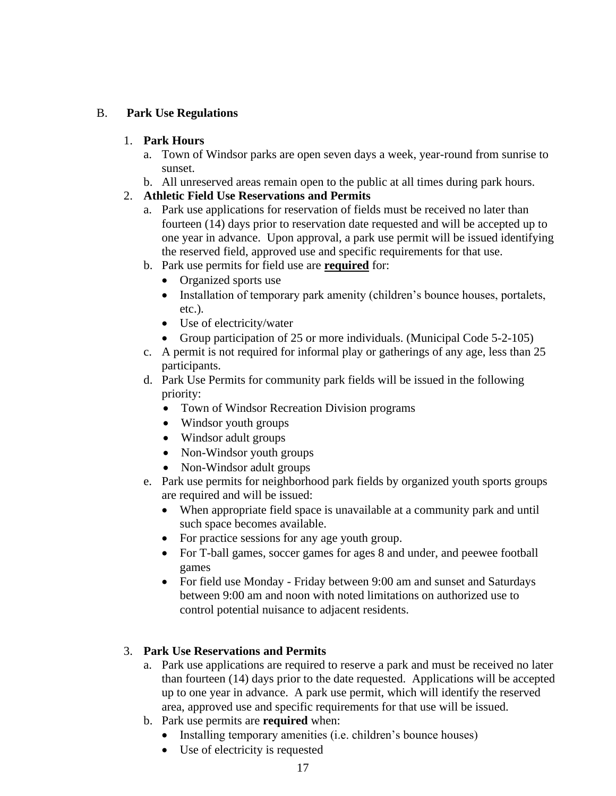## B. **Park Use Regulations**

#### 1. **Park Hours**

- a. Town of Windsor parks are open seven days a week, year-round from sunrise to sunset.
- b. All unreserved areas remain open to the public at all times during park hours.

# 2. **Athletic Field Use Reservations and Permits**

- a. Park use applications for reservation of fields must be received no later than fourteen (14) days prior to reservation date requested and will be accepted up to one year in advance. Upon approval, a park use permit will be issued identifying the reserved field, approved use and specific requirements for that use.
- b. Park use permits for field use are **required** for:
	- Organized sports use
	- Installation of temporary park amenity (children's bounce houses, portalets, etc.).
	- Use of electricity/water
	- Group participation of 25 or more individuals. (Municipal Code 5-2-105)
- c. A permit is not required for informal play or gatherings of any age, less than 25 participants.
- d. Park Use Permits for community park fields will be issued in the following priority:
	- Town of Windsor Recreation Division programs
	- Windsor youth groups
	- Windsor adult groups
	- Non-Windsor youth groups
	- Non-Windsor adult groups
- e. Park use permits for neighborhood park fields by organized youth sports groups are required and will be issued:
	- When appropriate field space is unavailable at a community park and until such space becomes available.
	- For practice sessions for any age youth group.
	- For T-ball games, soccer games for ages 8 and under, and peewee football games
	- For field use Monday Friday between 9:00 am and sunset and Saturdays between 9:00 am and noon with noted limitations on authorized use to control potential nuisance to adjacent residents.

## 3. **Park Use Reservations and Permits**

- a. Park use applications are required to reserve a park and must be received no later than fourteen (14) days prior to the date requested. Applications will be accepted up to one year in advance. A park use permit, which will identify the reserved area, approved use and specific requirements for that use will be issued.
- b. Park use permits are **required** when:
	- Installing temporary amenities (i.e. children's bounce houses)
	- Use of electricity is requested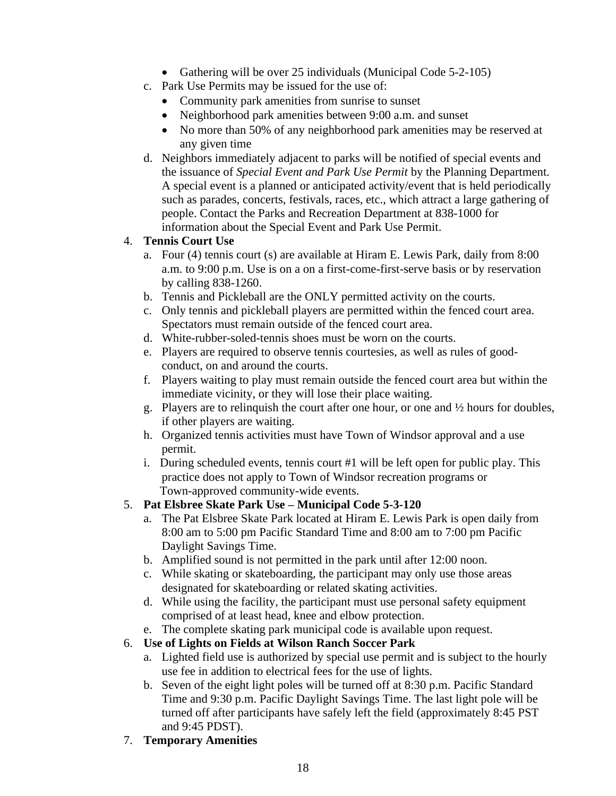- Gathering will be over 25 individuals (Municipal Code 5-2-105)
- c. Park Use Permits may be issued for the use of:
	- Community park amenities from sunrise to sunset
	- Neighborhood park amenities between 9:00 a.m. and sunset
	- No more than 50% of any neighborhood park amenities may be reserved at any given time
- d. Neighbors immediately adjacent to parks will be notified of special events and the issuance of *Special Event and Park Use Permit* by the Planning Department*.* A special event is a planned or anticipated activity/event that is held periodically such as parades, concerts, festivals, races, etc., which attract a large gathering of people. Contact the Parks and Recreation Department at 838-1000 for information about the Special Event and Park Use Permit.

## 4. **Tennis Court Use**

- a. Four (4) tennis court (s) are available at Hiram E. Lewis Park, daily from 8:00 a.m. to 9:00 p.m. Use is on a on a first-come-first-serve basis or by reservation by calling 838-1260.
- b. Tennis and Pickleball are the ONLY permitted activity on the courts.
- c. Only tennis and pickleball players are permitted within the fenced court area. Spectators must remain outside of the fenced court area.
- d. White-rubber-soled-tennis shoes must be worn on the courts.
- e. Players are required to observe tennis courtesies, as well as rules of goodconduct, on and around the courts.
- f. Players waiting to play must remain outside the fenced court area but within the immediate vicinity, or they will lose their place waiting.
- g. Players are to relinquish the court after one hour, or one and ½ hours for doubles, if other players are waiting.
- h. Organized tennis activities must have Town of Windsor approval and a use permit.
- i. During scheduled events, tennis court #1 will be left open for public play. This practice does not apply to Town of Windsor recreation programs or Town-approved community-wide events.

## 5. **Pat Elsbree Skate Park Use – Municipal Code 5-3-120**

- a. The Pat Elsbree Skate Park located at Hiram E. Lewis Park is open daily from 8:00 am to 5:00 pm Pacific Standard Time and 8:00 am to 7:00 pm Pacific Daylight Savings Time.
- b. Amplified sound is not permitted in the park until after 12:00 noon.
- c. While skating or skateboarding, the participant may only use those areas designated for skateboarding or related skating activities.
- d. While using the facility, the participant must use personal safety equipment comprised of at least head, knee and elbow protection.
- e. The complete skating park municipal code is available upon request.
- 6. **Use of Lights on Fields at Wilson Ranch Soccer Park**
	- a. Lighted field use is authorized by special use permit and is subject to the hourly use fee in addition to electrical fees for the use of lights.
	- b. Seven of the eight light poles will be turned off at 8:30 p.m. Pacific Standard Time and 9:30 p.m. Pacific Daylight Savings Time. The last light pole will be turned off after participants have safely left the field (approximately 8:45 PST and 9:45 PDST).
- 7. **Temporary Amenities**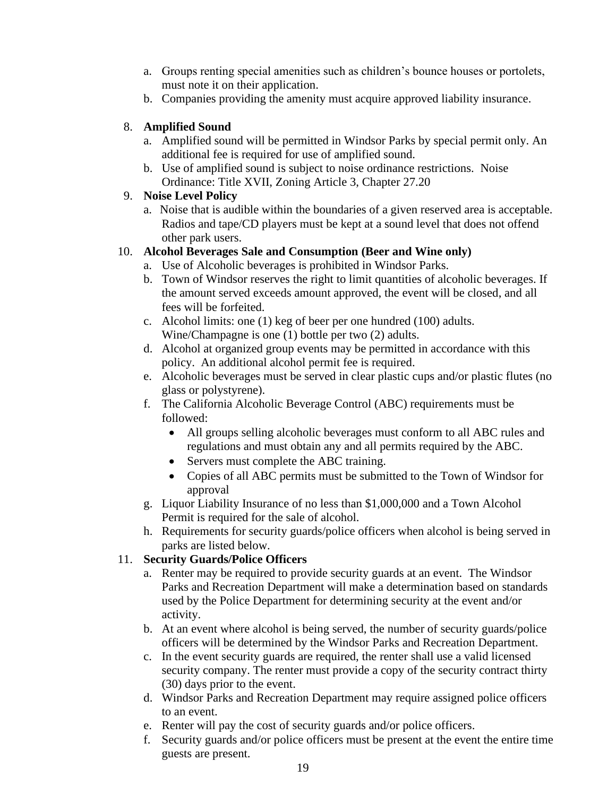- a. Groups renting special amenities such as children's bounce houses or portolets, must note it on their application.
- b. Companies providing the amenity must acquire approved liability insurance.

## 8. **Amplified Sound**

- a. Amplified sound will be permitted in Windsor Parks by special permit only. An additional fee is required for use of amplified sound.
- b. Use of amplified sound is subject to noise ordinance restrictions. Noise Ordinance: Title XVII, Zoning Article 3, Chapter 27.20

# 9. **Noise Level Policy**

a. Noise that is audible within the boundaries of a given reserved area is acceptable. Radios and tape/CD players must be kept at a sound level that does not offend other park users.

# 10. **Alcohol Beverages Sale and Consumption (Beer and Wine only)**

- a. Use of Alcoholic beverages is prohibited in Windsor Parks.
- b. Town of Windsor reserves the right to limit quantities of alcoholic beverages. If the amount served exceeds amount approved, the event will be closed, and all fees will be forfeited.
- c. Alcohol limits: one (1) keg of beer per one hundred (100) adults. Wine/Champagne is one (1) bottle per two (2) adults.
- d. Alcohol at organized group events may be permitted in accordance with this policy. An additional alcohol permit fee is required.
- e. Alcoholic beverages must be served in clear plastic cups and/or plastic flutes (no glass or polystyrene).
- f. The California Alcoholic Beverage Control (ABC) requirements must be followed:
	- All groups selling alcoholic beverages must conform to all ABC rules and regulations and must obtain any and all permits required by the ABC.
	- Servers must complete the ABC training.
	- Copies of all ABC permits must be submitted to the Town of Windsor for approval
- g. Liquor Liability Insurance of no less than \$1,000,000 and a Town Alcohol Permit is required for the sale of alcohol.
- h. Requirements for security guards/police officers when alcohol is being served in parks are listed below.

# 11. **Security Guards/Police Officers**

- a. Renter may be required to provide security guards at an event. The Windsor Parks and Recreation Department will make a determination based on standards used by the Police Department for determining security at the event and/or activity.
- b. At an event where alcohol is being served, the number of security guards/police officers will be determined by the Windsor Parks and Recreation Department.
- c. In the event security guards are required, the renter shall use a valid licensed security company. The renter must provide a copy of the security contract thirty (30) days prior to the event.
- d. Windsor Parks and Recreation Department may require assigned police officers to an event.
- e. Renter will pay the cost of security guards and/or police officers.
- f. Security guards and/or police officers must be present at the event the entire time guests are present.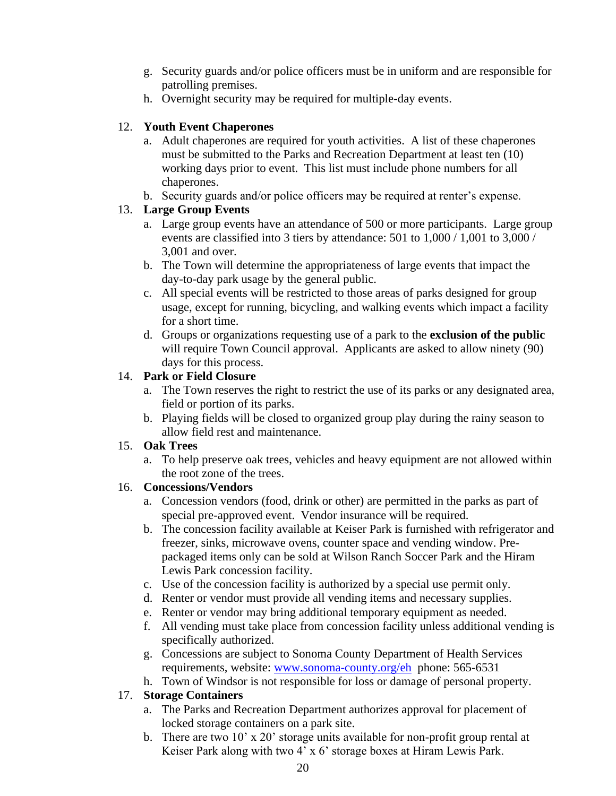- g. Security guards and/or police officers must be in uniform and are responsible for patrolling premises.
- h. Overnight security may be required for multiple-day events.

# 12. **Youth Event Chaperones**

- a. Adult chaperones are required for youth activities. A list of these chaperones must be submitted to the Parks and Recreation Department at least ten (10) working days prior to event. This list must include phone numbers for all chaperones.
- b. Security guards and/or police officers may be required at renter's expense.

# 13. **Large Group Events**

- a. Large group events have an attendance of 500 or more participants. Large group events are classified into 3 tiers by attendance: 501 to 1,000 / 1,001 to 3,000 / 3,001 and over.
- b. The Town will determine the appropriateness of large events that impact the day-to-day park usage by the general public.
- c. All special events will be restricted to those areas of parks designed for group usage, except for running, bicycling, and walking events which impact a facility for a short time.
- d. Groups or organizations requesting use of a park to the **exclusion of the public** will require Town Council approval. Applicants are asked to allow ninety (90) days for this process.

# 14. **Park or Field Closure**

- a. The Town reserves the right to restrict the use of its parks or any designated area, field or portion of its parks.
- b. Playing fields will be closed to organized group play during the rainy season to allow field rest and maintenance.

# 15. **Oak Trees**

a. To help preserve oak trees, vehicles and heavy equipment are not allowed within the root zone of the trees.

# 16. **Concessions/Vendors**

- a. Concession vendors (food, drink or other) are permitted in the parks as part of special pre-approved event. Vendor insurance will be required.
- b. The concession facility available at Keiser Park is furnished with refrigerator and freezer, sinks, microwave ovens, counter space and vending window. Prepackaged items only can be sold at Wilson Ranch Soccer Park and the Hiram Lewis Park concession facility.
- c. Use of the concession facility is authorized by a special use permit only.
- d. Renter or vendor must provide all vending items and necessary supplies.
- e. Renter or vendor may bring additional temporary equipment as needed.
- f. All vending must take place from concession facility unless additional vending is specifically authorized.
- g. Concessions are subject to Sonoma County Department of Health Services requirements, website: [www.sonoma-county.org/eh](http://www.sonoma-county.org/eh) phone: 565-6531
- h. Town of Windsor is not responsible for loss or damage of personal property.

# 17. **Storage Containers**

- a. The Parks and Recreation Department authorizes approval for placement of locked storage containers on a park site.
- b. There are two 10' x 20' storage units available for non-profit group rental at Keiser Park along with two 4' x 6' storage boxes at Hiram Lewis Park.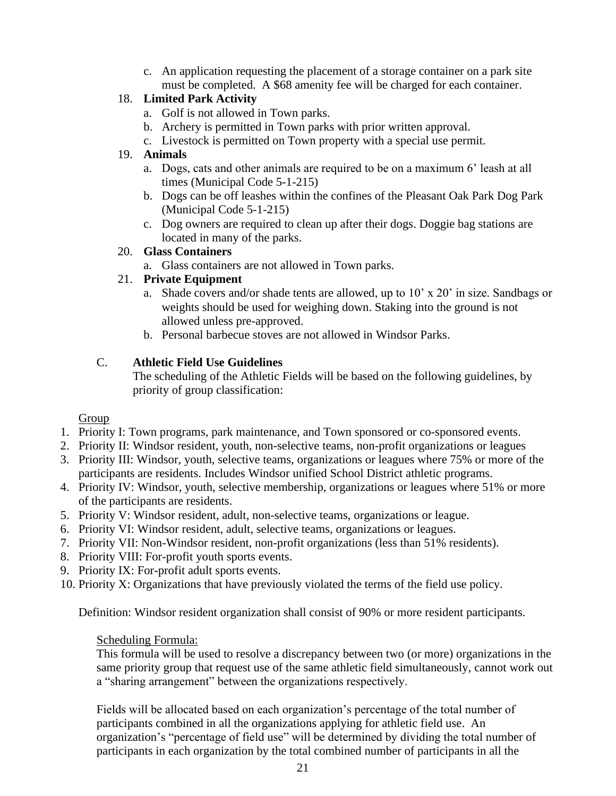c. An application requesting the placement of a storage container on a park site must be completed. A \$68 amenity fee will be charged for each container.

# 18. **Limited Park Activity**

- a. Golf is not allowed in Town parks.
- b. Archery is permitted in Town parks with prior written approval.
- c. Livestock is permitted on Town property with a special use permit.

# 19. **Animals**

- a. Dogs, cats and other animals are required to be on a maximum 6' leash at all times (Municipal Code 5-1-215)
- b. Dogs can be off leashes within the confines of the Pleasant Oak Park Dog Park (Municipal Code 5-1-215)
- c. Dog owners are required to clean up after their dogs. Doggie bag stations are located in many of the parks.

# 20. **Glass Containers**

a. Glass containers are not allowed in Town parks.

# 21. **Private Equipment**

- a. Shade covers and/or shade tents are allowed, up to 10' x 20' in size. Sandbags or weights should be used for weighing down. Staking into the ground is not allowed unless pre-approved.
- b. Personal barbecue stoves are not allowed in Windsor Parks.

# C. **Athletic Field Use Guidelines**

The scheduling of the Athletic Fields will be based on the following guidelines, by priority of group classification:

## Group

- 1. Priority I: Town programs, park maintenance, and Town sponsored or co-sponsored events.
- 2. Priority II: Windsor resident, youth, non-selective teams, non-profit organizations or leagues
- 3. Priority III: Windsor, youth, selective teams, organizations or leagues where 75% or more of the participants are residents. Includes Windsor unified School District athletic programs.
- 4. Priority IV: Windsor, youth, selective membership, organizations or leagues where 51% or more of the participants are residents.
- 5. Priority V: Windsor resident, adult, non-selective teams, organizations or league.
- 6. Priority VI: Windsor resident, adult, selective teams, organizations or leagues.
- 7. Priority VII: Non-Windsor resident, non-profit organizations (less than 51% residents).
- 8. Priority VIII: For-profit youth sports events.
- 9. Priority IX: For-profit adult sports events.
- 10. Priority X: Organizations that have previously violated the terms of the field use policy.

Definition: Windsor resident organization shall consist of 90% or more resident participants.

## Scheduling Formula:

This formula will be used to resolve a discrepancy between two (or more) organizations in the same priority group that request use of the same athletic field simultaneously, cannot work out a "sharing arrangement" between the organizations respectively.

Fields will be allocated based on each organization's percentage of the total number of participants combined in all the organizations applying for athletic field use. An organization's "percentage of field use" will be determined by dividing the total number of participants in each organization by the total combined number of participants in all the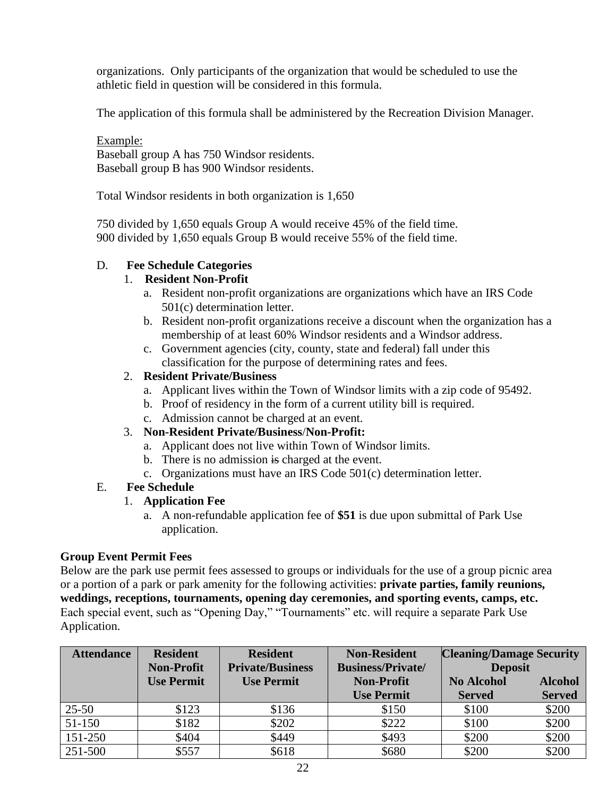organizations. Only participants of the organization that would be scheduled to use the athletic field in question will be considered in this formula.

The application of this formula shall be administered by the Recreation Division Manager.

Example: Baseball group A has 750 Windsor residents. Baseball group B has 900 Windsor residents.

Total Windsor residents in both organization is 1,650

750 divided by 1,650 equals Group A would receive 45% of the field time. 900 divided by 1,650 equals Group B would receive 55% of the field time.

## D. **Fee Schedule Categories**

#### 1. **Resident Non-Profit**

- a. Resident non-profit organizations are organizations which have an IRS Code 501(c) determination letter.
- b. Resident non-profit organizations receive a discount when the organization has a membership of at least 60% Windsor residents and a Windsor address.
- c. Government agencies (city, county, state and federal) fall under this classification for the purpose of determining rates and fees.

## 2. **Resident Private/Business**

- a. Applicant lives within the Town of Windsor limits with a zip code of 95492.
- b. Proof of residency in the form of a current utility bill is required.
- c. Admission cannot be charged at an event.

## 3. **Non-Resident Private/Business**/**Non-Profit:**

- a. Applicant does not live within Town of Windsor limits.
- b. There is no admission is charged at the event.
- c. Organizations must have an IRS Code 501(c) determination letter.

#### E. **Fee Schedule**

## 1. **Application Fee**

a. A non-refundable application fee of **\$51** is due upon submittal of Park Use application.

#### **Group Event Permit Fees**

Below are the park use permit fees assessed to groups or individuals for the use of a group picnic area or a portion of a park or park amenity for the following activities: **private parties, family reunions, weddings, receptions, tournaments, opening day ceremonies, and sporting events, camps, etc.** Each special event, such as "Opening Day," "Tournaments" etc. will require a separate Park Use Application.

| <b>Attendance</b> | <b>Resident</b><br><b>Non-Profit</b> | <b>Resident</b><br><b>Private/Business</b> | <b>Non-Resident</b><br><b>Business/Private/</b> | <b>Cleaning/Damage Security</b><br><b>Deposit</b> |                |
|-------------------|--------------------------------------|--------------------------------------------|-------------------------------------------------|---------------------------------------------------|----------------|
|                   | <b>Use Permit</b>                    | <b>Use Permit</b>                          | <b>Non-Profit</b>                               | <b>No Alcohol</b>                                 | <b>Alcohol</b> |
|                   |                                      |                                            | <b>Use Permit</b>                               | <b>Served</b>                                     | <b>Served</b>  |
| $25 - 50$         | \$123                                | \$136                                      | \$150                                           | \$100                                             | \$200          |
| 51-150            | \$182                                | \$202                                      | \$222                                           | \$100                                             | \$200          |
| 151-250           | \$404                                | \$449                                      | \$493                                           | \$200                                             | \$200          |
| 251-500           | \$557                                | \$618                                      | \$680                                           | \$200                                             | \$200          |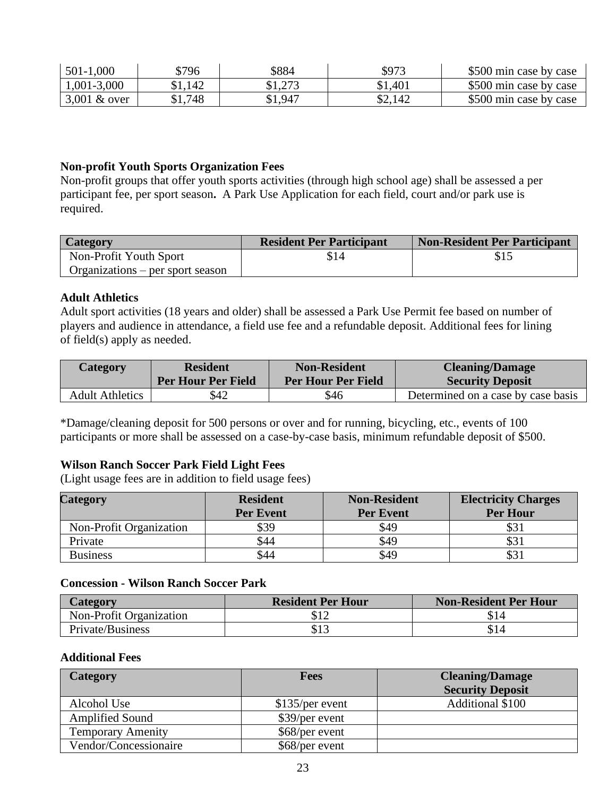| 501-1,000      | \$796   | \$884   | \$973   | \$500 min case by case |
|----------------|---------|---------|---------|------------------------|
| 1,001-3,000    | \$1,142 | \$1,273 | \$1,401 | \$500 min case by case |
| $3,001$ & over | \$1,748 | \$1,947 | \$2,142 | \$500 min case by case |

#### **Non-profit Youth Sports Organization Fees**

Non-profit groups that offer youth sports activities (through high school age) shall be assessed a per participant fee, per sport season**.** A Park Use Application for each field, court and/or park use is required.

| <b>Category</b>                  | <b>Resident Per Participant</b> | Non-Resident Per Participant |
|----------------------------------|---------------------------------|------------------------------|
| Non-Profit Youth Sport           |                                 |                              |
| Organizations – per sport season |                                 |                              |

#### **Adult Athletics**

Adult sport activities (18 years and older) shall be assessed a Park Use Permit fee based on number of players and audience in attendance, a field use fee and a refundable deposit. Additional fees for lining of field(s) apply as needed.

| Category        | <b>Resident</b>           | <b>Non-Resident</b>       | <b>Cleaning/Damage</b>             |
|-----------------|---------------------------|---------------------------|------------------------------------|
|                 | <b>Per Hour Per Field</b> | <b>Per Hour Per Field</b> | <b>Security Deposit</b>            |
| Adult Athletics | \$42                      | \$46                      | Determined on a case by case basis |

\*Damage/cleaning deposit for 500 persons or over and for running, bicycling, etc., events of 100 participants or more shall be assessed on a case-by-case basis, minimum refundable deposit of \$500.

#### **Wilson Ranch Soccer Park Field Light Fees**

(Light usage fees are in addition to field usage fees)

| Category                       | <b>Resident</b>  | <b>Non-Resident</b> | <b>Electricity Charges</b> |
|--------------------------------|------------------|---------------------|----------------------------|
|                                | <b>Per Event</b> | <b>Per Event</b>    | <b>Per Hour</b>            |
| <b>Non-Profit Organization</b> | \$39             | \$49                | \$31                       |
| Private                        | 544              | \$49                | DJ.                        |
| <b>Business</b>                | 544              | \$49                | YJ J                       |

#### **Concession - Wilson Ranch Soccer Park**

| Category                       | <b>Resident Per Hour</b> | <b>Non-Resident Per Hour</b> |
|--------------------------------|--------------------------|------------------------------|
| <b>Non-Profit Organization</b> |                          |                              |
| Private/Business               |                          |                              |

#### **Additional Fees**

| <b>Category</b>          | <b>Fees</b>     | <b>Cleaning/Damage</b>  |
|--------------------------|-----------------|-------------------------|
|                          |                 | <b>Security Deposit</b> |
| Alcohol Use              | \$135/per event | Additional \$100        |
| <b>Amplified Sound</b>   | $$39/per$ event |                         |
| <b>Temporary Amenity</b> | $$68/per$ event |                         |
| Vendor/Concessionaire    | \$68/per event  |                         |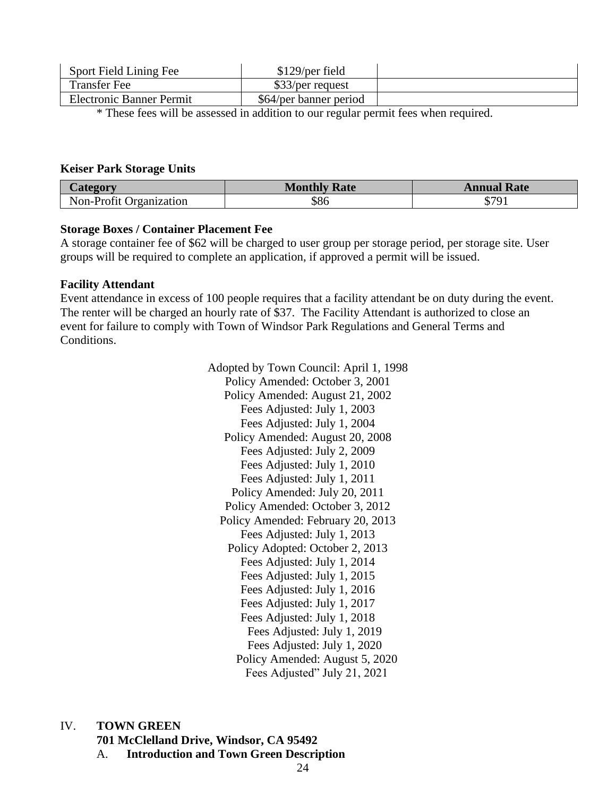| Sport Field Lining Fee          | $$129/per$ field       |  |
|---------------------------------|------------------------|--|
| <b>Transfer Fee</b>             | \$33/per request       |  |
| <b>Electronic Banner Permit</b> | \$64/per banner period |  |

\* These fees will be assessed in addition to our regular permit fees when required.

#### **Keiser Park Storage Units**

|                                | Mon'<br><b>Rate</b> | Rate<br>`nnua.  |
|--------------------------------|---------------------|-----------------|
| $\sim$<br>Non-Profit<br>zation | აგი                 | ሰማሰ<br>ч<br>JD. |

#### **Storage Boxes / Container Placement Fee**

A storage container fee of \$62 will be charged to user group per storage period, per storage site. User groups will be required to complete an application, if approved a permit will be issued.

#### **Facility Attendant**

Event attendance in excess of 100 people requires that a facility attendant be on duty during the event. The renter will be charged an hourly rate of \$37. The Facility Attendant is authorized to close an event for failure to comply with Town of Windsor Park Regulations and General Terms and Conditions.

> Adopted by Town Council: April 1, 1998 Policy Amended: October 3, 2001 Policy Amended: August 21, 2002 Fees Adjusted: July 1, 2003 Fees Adjusted: July 1, 2004 Policy Amended: August 20, 2008 Fees Adjusted: July 2, 2009 Fees Adjusted: July 1, 2010 Fees Adjusted: July 1, 2011 Policy Amended: July 20, 2011 Policy Amended: October 3, 2012 Policy Amended: February 20, 2013 Fees Adjusted: July 1, 2013 Policy Adopted: October 2, 2013 Fees Adjusted: July 1, 2014 Fees Adjusted: July 1, 2015 Fees Adjusted: July 1, 2016 Fees Adjusted: July 1, 2017 Fees Adjusted: July 1, 2018 Fees Adjusted: July 1, 2019 Fees Adjusted: July 1, 2020 Policy Amended: August 5, 2020 Fees Adjusted" July 21, 2021

IV. **TOWN GREEN** 

**701 McClelland Drive, Windsor, CA 95492**

A. **Introduction and Town Green Description**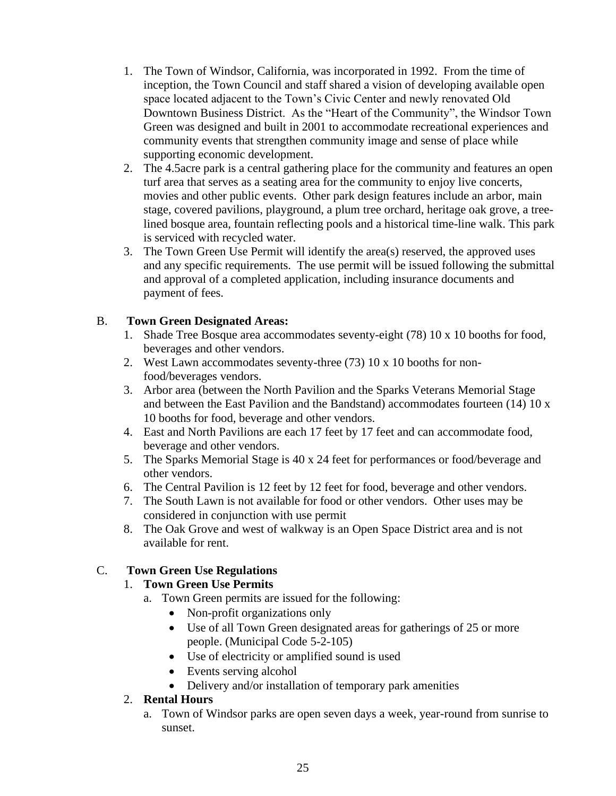- 1. The Town of Windsor, California, was incorporated in 1992. From the time of inception, the Town Council and staff shared a vision of developing available open space located adjacent to the Town's Civic Center and newly renovated Old Downtown Business District. As the "Heart of the Community", the Windsor Town Green was designed and built in 2001 to accommodate recreational experiences and community events that strengthen community image and sense of place while supporting economic development.
- 2. The 4.5acre park is a central gathering place for the community and features an open turf area that serves as a seating area for the community to enjoy live concerts, movies and other public events. Other park design features include an arbor, main stage, covered pavilions, playground, a plum tree orchard, heritage oak grove, a treelined bosque area, fountain reflecting pools and a historical time-line walk. This park is serviced with recycled water.
- 3. The Town Green Use Permit will identify the area(s) reserved, the approved uses and any specific requirements. The use permit will be issued following the submittal and approval of a completed application, including insurance documents and payment of fees.

# B. **Town Green Designated Areas:**

- 1. Shade Tree Bosque area accommodates seventy-eight (78) 10 x 10 booths for food, beverages and other vendors.
- 2. West Lawn accommodates seventy-three (73) 10 x 10 booths for nonfood/beverages vendors.
- 3. Arbor area (between the North Pavilion and the Sparks Veterans Memorial Stage and between the East Pavilion and the Bandstand) accommodates fourteen (14) 10 x 10 booths for food, beverage and other vendors.
- 4. East and North Pavilions are each 17 feet by 17 feet and can accommodate food, beverage and other vendors.
- 5. The Sparks Memorial Stage is 40 x 24 feet for performances or food/beverage and other vendors.
- 6. The Central Pavilion is 12 feet by 12 feet for food, beverage and other vendors.
- 7. The South Lawn is not available for food or other vendors. Other uses may be considered in conjunction with use permit
- 8. The Oak Grove and west of walkway is an Open Space District area and is not available for rent.

# C. **Town Green Use Regulations**

# 1. **Town Green Use Permits**

- a. Town Green permits are issued for the following:
	- Non-profit organizations only
	- Use of all Town Green designated areas for gatherings of 25 or more people. (Municipal Code 5-2-105)
	- Use of electricity or amplified sound is used
	- Events serving alcohol
	- Delivery and/or installation of temporary park amenities

# 2. **Rental Hours**

a. Town of Windsor parks are open seven days a week, year-round from sunrise to sunset.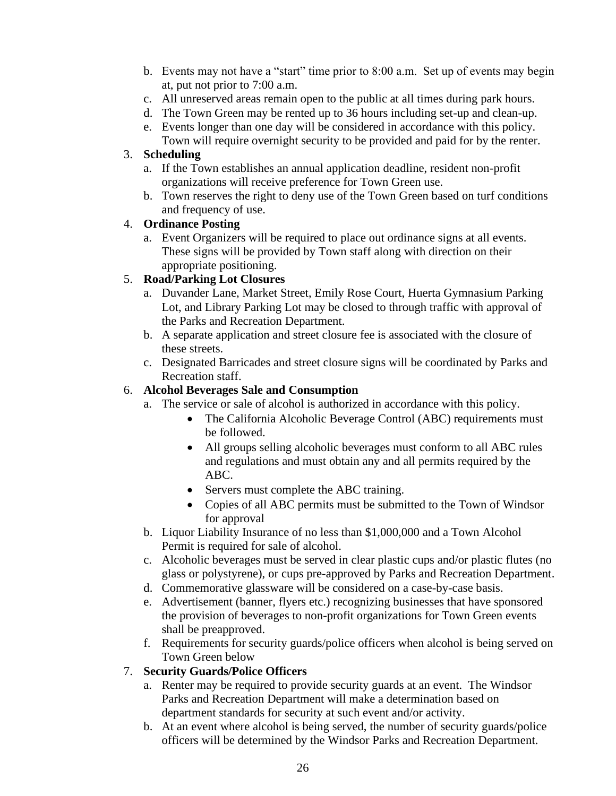- b. Events may not have a "start" time prior to 8:00 a.m. Set up of events may begin at, put not prior to 7:00 a.m.
- c. All unreserved areas remain open to the public at all times during park hours.
- d. The Town Green may be rented up to 36 hours including set-up and clean-up.
- e. Events longer than one day will be considered in accordance with this policy. Town will require overnight security to be provided and paid for by the renter.

## 3. **Scheduling**

- a. If the Town establishes an annual application deadline, resident non-profit organizations will receive preference for Town Green use.
- b. Town reserves the right to deny use of the Town Green based on turf conditions and frequency of use.

## 4. **Ordinance Posting**

a. Event Organizers will be required to place out ordinance signs at all events. These signs will be provided by Town staff along with direction on their appropriate positioning.

## 5. **Road/Parking Lot Closures**

- a. Duvander Lane, Market Street, Emily Rose Court, Huerta Gymnasium Parking Lot, and Library Parking Lot may be closed to through traffic with approval of the Parks and Recreation Department.
- b. A separate application and street closure fee is associated with the closure of these streets.
- c. Designated Barricades and street closure signs will be coordinated by Parks and Recreation staff.

## 6. **Alcohol Beverages Sale and Consumption**

- a. The service or sale of alcohol is authorized in accordance with this policy.
	- The California Alcoholic Beverage Control (ABC) requirements must be followed.
	- All groups selling alcoholic beverages must conform to all ABC rules and regulations and must obtain any and all permits required by the ABC.
	- Servers must complete the ABC training.
	- Copies of all ABC permits must be submitted to the Town of Windsor for approval
- b. Liquor Liability Insurance of no less than \$1,000,000 and a Town Alcohol Permit is required for sale of alcohol.
- c. Alcoholic beverages must be served in clear plastic cups and/or plastic flutes (no glass or polystyrene), or cups pre-approved by Parks and Recreation Department.
- d. Commemorative glassware will be considered on a case-by-case basis.
- e. Advertisement (banner, flyers etc.) recognizing businesses that have sponsored the provision of beverages to non-profit organizations for Town Green events shall be preapproved.
- f. Requirements for security guards/police officers when alcohol is being served on Town Green below

## 7. **Security Guards/Police Officers**

- a. Renter may be required to provide security guards at an event. The Windsor Parks and Recreation Department will make a determination based on department standards for security at such event and/or activity.
- b. At an event where alcohol is being served, the number of security guards/police officers will be determined by the Windsor Parks and Recreation Department.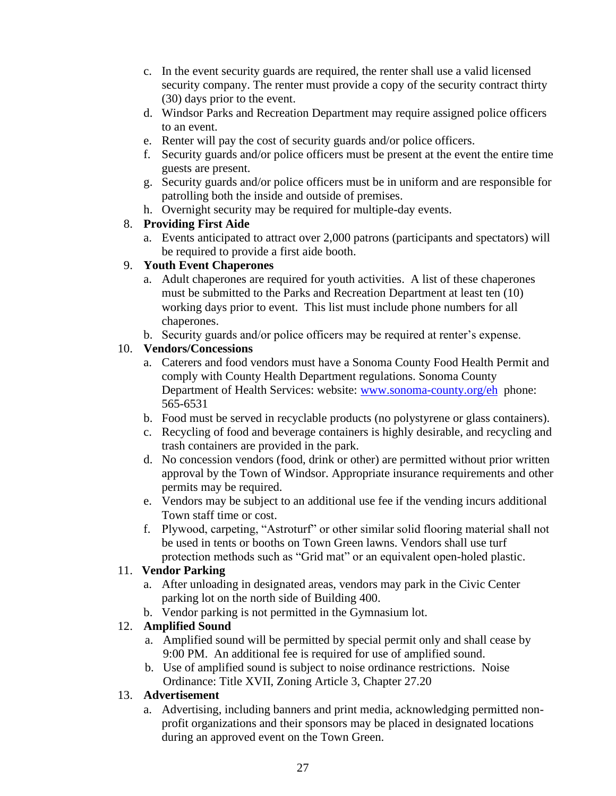- c. In the event security guards are required, the renter shall use a valid licensed security company. The renter must provide a copy of the security contract thirty (30) days prior to the event.
- d. Windsor Parks and Recreation Department may require assigned police officers to an event.
- e. Renter will pay the cost of security guards and/or police officers.
- f. Security guards and/or police officers must be present at the event the entire time guests are present.
- g. Security guards and/or police officers must be in uniform and are responsible for patrolling both the inside and outside of premises.
- h. Overnight security may be required for multiple-day events.

# 8. **Providing First Aide**

a. Events anticipated to attract over 2,000 patrons (participants and spectators) will be required to provide a first aide booth.

# 9. **Youth Event Chaperones**

- a. Adult chaperones are required for youth activities. A list of these chaperones must be submitted to the Parks and Recreation Department at least ten (10) working days prior to event. This list must include phone numbers for all chaperones.
- b. Security guards and/or police officers may be required at renter's expense.

# 10. **Vendors/Concessions**

- a. Caterers and food vendors must have a Sonoma County Food Health Permit and comply with County Health Department regulations. Sonoma County Department of Health Services: website: [www.sonoma-county.org/eh](http://www.sonoma-county.org/eh) phone: 565-6531
- b. Food must be served in recyclable products (no polystyrene or glass containers).
- c. Recycling of food and beverage containers is highly desirable, and recycling and trash containers are provided in the park.
- d. No concession vendors (food, drink or other) are permitted without prior written approval by the Town of Windsor. Appropriate insurance requirements and other permits may be required.
- e. Vendors may be subject to an additional use fee if the vending incurs additional Town staff time or cost.
- f. Plywood, carpeting, "Astroturf" or other similar solid flooring material shall not be used in tents or booths on Town Green lawns. Vendors shall use turf protection methods such as "Grid mat" or an equivalent open-holed plastic.

# 11. **Vendor Parking**

- a. After unloading in designated areas, vendors may park in the Civic Center parking lot on the north side of Building 400.
- b. Vendor parking is not permitted in the Gymnasium lot.

# 12. **Amplified Sound**

- a. Amplified sound will be permitted by special permit only and shall cease by 9:00 PM. An additional fee is required for use of amplified sound.
- b. Use of amplified sound is subject to noise ordinance restrictions. Noise Ordinance: Title XVII, Zoning Article 3, Chapter 27.20

# 13. **Advertisement**

a. Advertising, including banners and print media, acknowledging permitted nonprofit organizations and their sponsors may be placed in designated locations during an approved event on the Town Green.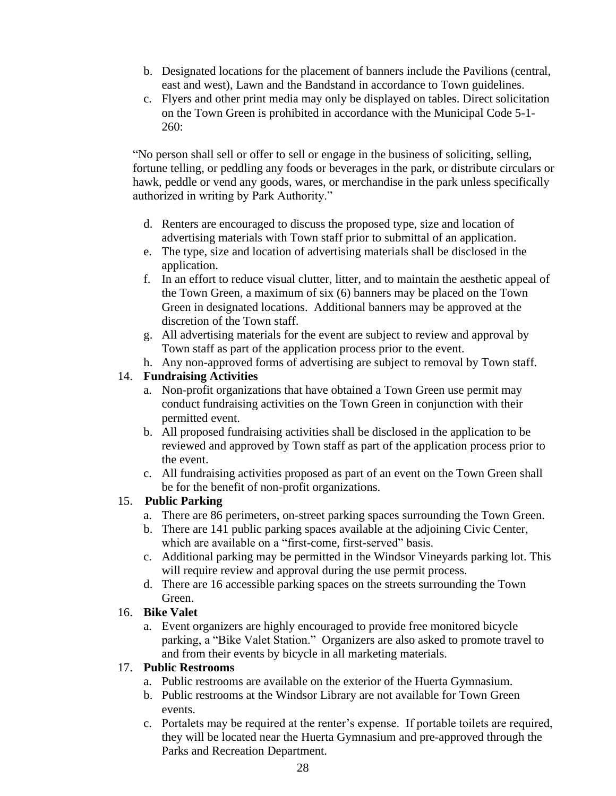- b. Designated locations for the placement of banners include the Pavilions (central, east and west), Lawn and the Bandstand in accordance to Town guidelines.
- c. Flyers and other print media may only be displayed on tables. Direct solicitation on the Town Green is prohibited in accordance with the Municipal Code 5-1- 260:

"No person shall sell or offer to sell or engage in the business of soliciting, selling, fortune telling, or peddling any foods or beverages in the park, or distribute circulars or hawk, peddle or vend any goods, wares, or merchandise in the park unless specifically authorized in writing by Park Authority."

- d. Renters are encouraged to discuss the proposed type, size and location of advertising materials with Town staff prior to submittal of an application.
- e. The type, size and location of advertising materials shall be disclosed in the application.
- f. In an effort to reduce visual clutter, litter, and to maintain the aesthetic appeal of the Town Green, a maximum of six (6) banners may be placed on the Town Green in designated locations. Additional banners may be approved at the discretion of the Town staff.
- g. All advertising materials for the event are subject to review and approval by Town staff as part of the application process prior to the event.

h. Any non-approved forms of advertising are subject to removal by Town staff.

#### 14. **Fundraising Activities**

- a. Non-profit organizations that have obtained a Town Green use permit may conduct fundraising activities on the Town Green in conjunction with their permitted event.
- b. All proposed fundraising activities shall be disclosed in the application to be reviewed and approved by Town staff as part of the application process prior to the event.
- c. All fundraising activities proposed as part of an event on the Town Green shall be for the benefit of non-profit organizations.

## 15. **Public Parking**

- a. There are 86 perimeters, on-street parking spaces surrounding the Town Green.
- b. There are 141 public parking spaces available at the adjoining Civic Center, which are available on a "first-come, first-served" basis.
- c. Additional parking may be permitted in the Windsor Vineyards parking lot. This will require review and approval during the use permit process.
- d. There are 16 accessible parking spaces on the streets surrounding the Town Green.

## 16. **Bike Valet**

a. Event organizers are highly encouraged to provide free monitored bicycle parking, a "Bike Valet Station." Organizers are also asked to promote travel to and from their events by bicycle in all marketing materials.

## 17. **Public Restrooms**

- a. Public restrooms are available on the exterior of the Huerta Gymnasium.
- b. Public restrooms at the Windsor Library are not available for Town Green events.
- c. Portalets may be required at the renter's expense. If portable toilets are required, they will be located near the Huerta Gymnasium and pre-approved through the Parks and Recreation Department.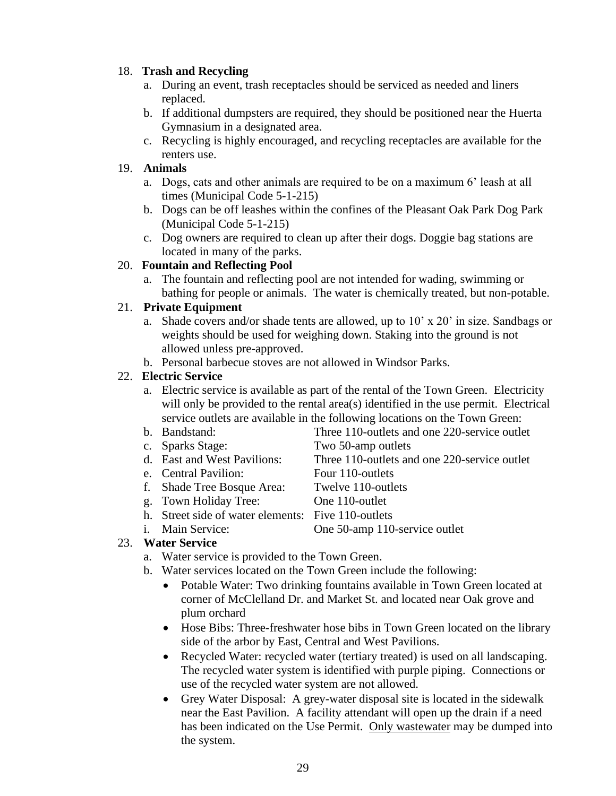## 18. **Trash and Recycling**

- a. During an event, trash receptacles should be serviced as needed and liners replaced.
- b. If additional dumpsters are required, they should be positioned near the Huerta Gymnasium in a designated area.
- c. Recycling is highly encouraged, and recycling receptacles are available for the renters use.

# 19. **Animals**

- a. Dogs, cats and other animals are required to be on a maximum 6' leash at all times (Municipal Code 5-1-215)
- b. Dogs can be off leashes within the confines of the Pleasant Oak Park Dog Park (Municipal Code 5-1-215)
- c. Dog owners are required to clean up after their dogs. Doggie bag stations are located in many of the parks.

# 20. **Fountain and Reflecting Pool**

a. The fountain and reflecting pool are not intended for wading, swimming or bathing for people or animals. The water is chemically treated, but non-potable.

# 21. **Private Equipment**

- a. Shade covers and/or shade tents are allowed, up to 10' x 20' in size. Sandbags or weights should be used for weighing down. Staking into the ground is not allowed unless pre-approved.
- b. Personal barbecue stoves are not allowed in Windsor Parks.

# 22. **Electric Service**

- a. Electric service is available as part of the rental of the Town Green. Electricity will only be provided to the rental area(s) identified in the use permit. Electrical service outlets are available in the following locations on the Town Green:
- b. Bandstand: Three 110-outlets and one 220-service outlet
- c. Sparks Stage: Two 50-amp outlets
- d. East and West Pavilions: Three 110-outlets and one 220-service outlet
- e. Central Pavilion: Four 110-outlets
- f. Shade Tree Bosque Area: Twelve 110-outlets
- g. Town Holiday Tree: One 110-outlet
	-
- h. Street side of water elements: Five 110-outlets
- i. Main Service: One 50-amp 110-service outlet

# 23. **Water Service**

- a. Water service is provided to the Town Green.
- b. Water services located on the Town Green include the following:
	- Potable Water: Two drinking fountains available in Town Green located at corner of McClelland Dr. and Market St. and located near Oak grove and plum orchard
	- Hose Bibs: Three-freshwater hose bibs in Town Green located on the library side of the arbor by East, Central and West Pavilions.
	- Recycled Water: recycled water (tertiary treated) is used on all landscaping. The recycled water system is identified with purple piping. Connections or use of the recycled water system are not allowed.
	- Grey Water Disposal: A grey-water disposal site is located in the sidewalk near the East Pavilion. A facility attendant will open up the drain if a need has been indicated on the Use Permit. Only wastewater may be dumped into the system.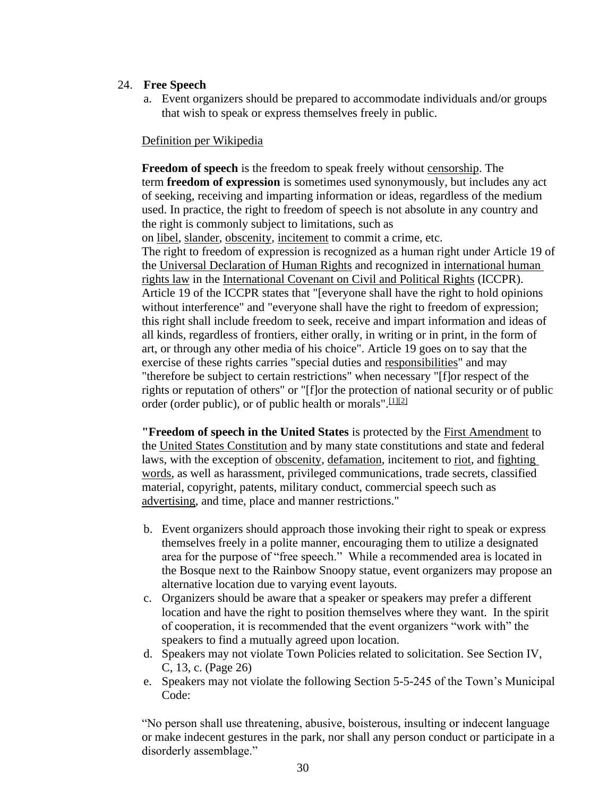#### 24. **Free Speech**

a. Event organizers should be prepared to accommodate individuals and/or groups that wish to speak or express themselves freely in public.

#### Definition per Wikipedia

**Freedom of speech** is the freedom to speak freely without [censorship.](http://en.wikipedia.org/wiki/Censorship) The term **freedom of expression** is sometimes used synonymously, but includes any act of seeking, receiving and imparting information or ideas, regardless of the medium used. In practice, the right to freedom of speech is not absolute in any country and the right is commonly subject to limitations, such as on [libel,](http://en.wikipedia.org/wiki/Libel) [slander,](http://en.wikipedia.org/wiki/Slander) [obscenity,](http://en.wikipedia.org/wiki/Obscenity) [incitement](http://en.wikipedia.org/wiki/Incitement) to commit a crime, etc. The right to freedom of expression is recognized as a human right under Article 19 of the [Universal Declaration of Human Rights](http://en.wikipedia.org/wiki/Universal_Declaration_of_Human_Rights) and recognized in [international human](http://en.wikipedia.org/wiki/International_human_rights_law)  [rights law](http://en.wikipedia.org/wiki/International_human_rights_law) in the [International Covenant on Civil and Political Rights](http://en.wikipedia.org/wiki/International_Covenant_on_Civil_and_Political_Rights) (ICCPR). Article 19 of the ICCPR states that "[everyone shall have the right to hold opinions without interference" and "everyone shall have the right to freedom of expression; this right shall include freedom to seek, receive and impart information and ideas of all kinds, regardless of frontiers, either orally, in writing or in print, in the form of art, or through any other media of his choice". Article 19 goes on to say that the exercise of these rights carries "special duties and [responsibilities"](http://en.wikipedia.org/wiki/Moral_responsibility) and may "therefore be subject to certain restrictions" when necessary "[f]or respect of the rights or reputation of others" or "[f]or the protection of national security or of public order (order public), or of public health or morals".  $[1][2]$  $[1][2]$ 

**"Freedom of speech in the United States** is protected by the [First Amendment](http://en.wikipedia.org/wiki/First_Amendment_to_the_United_States_Constitution) to the [United States Constitution](http://en.wikipedia.org/wiki/United_States_Constitution) and by many state constitutions and state and federal laws, with the exception of [obscenity,](http://en.wikipedia.org/wiki/Obscenity) [defamation,](http://en.wikipedia.org/wiki/Defamation) incitement to [riot,](http://en.wikipedia.org/wiki/Riot) and [fighting](http://en.wikipedia.org/wiki/Fighting_words)  [words,](http://en.wikipedia.org/wiki/Fighting_words) as well as harassment, privileged communications, trade secrets, classified material, copyright, patents, military conduct, commercial speech such as [advertising,](http://en.wikipedia.org/wiki/Advertising) and time, place and manner restrictions."

- b. Event organizers should approach those invoking their right to speak or express themselves freely in a polite manner, encouraging them to utilize a designated area for the purpose of "free speech." While a recommended area is located in the Bosque next to the Rainbow Snoopy statue, event organizers may propose an alternative location due to varying event layouts.
- c. Organizers should be aware that a speaker or speakers may prefer a different location and have the right to position themselves where they want. In the spirit of cooperation, it is recommended that the event organizers "work with" the speakers to find a mutually agreed upon location.
- d. Speakers may not violate Town Policies related to solicitation. See Section IV, C, 13, c. (Page 26)
- e. Speakers may not violate the following Section 5-5-245 of the Town's Municipal Code:

"No person shall use threatening, abusive, boisterous, insulting or indecent language or make indecent gestures in the park, nor shall any person conduct or participate in a disorderly assemblage."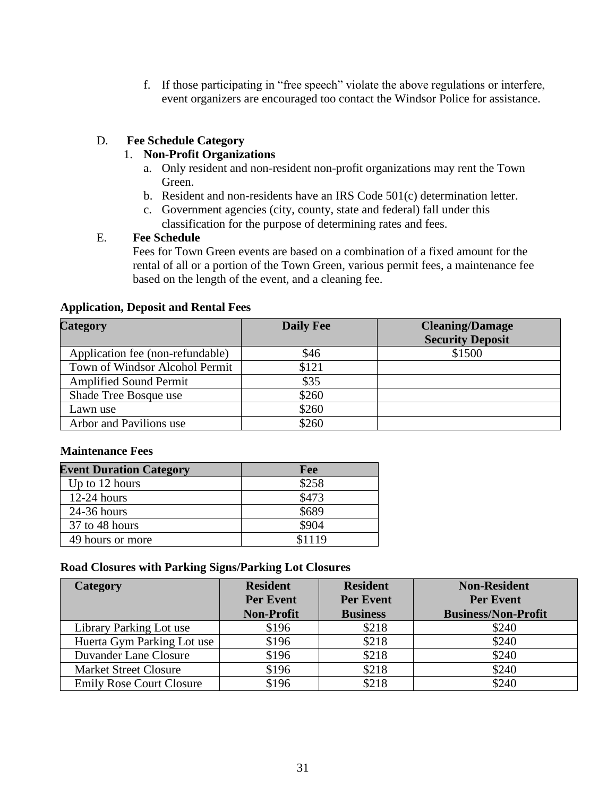f. If those participating in "free speech" violate the above regulations or interfere, event organizers are encouraged too contact the Windsor Police for assistance.

#### D. **Fee Schedule Category**

#### 1. **Non-Profit Organizations**

- a. Only resident and non-resident non-profit organizations may rent the Town Green.
- b. Resident and non-residents have an IRS Code 501(c) determination letter.
- c. Government agencies (city, county, state and federal) fall under this classification for the purpose of determining rates and fees.

#### E. **Fee Schedule**

Fees for Town Green events are based on a combination of a fixed amount for the rental of all or a portion of the Town Green, various permit fees, a maintenance fee based on the length of the event, and a cleaning fee.

#### **Application, Deposit and Rental Fees**

| <b>Category</b>                  | <b>Daily Fee</b> | <b>Cleaning/Damage</b><br><b>Security Deposit</b> |
|----------------------------------|------------------|---------------------------------------------------|
| Application fee (non-refundable) | \$46             | \$1500                                            |
| Town of Windsor Alcohol Permit   | \$121            |                                                   |
| <b>Amplified Sound Permit</b>    | \$35             |                                                   |
| Shade Tree Bosque use            | \$260            |                                                   |
| Lawn use                         | \$260            |                                                   |
| Arbor and Pavilions use          | \$260            |                                                   |

#### **Maintenance Fees**

| <b>Event Duration Category</b> | Fee    |
|--------------------------------|--------|
| Up to 12 hours                 | \$258  |
| $12-24$ hours                  | \$473  |
| $24-36$ hours                  | \$689  |
| 37 to 48 hours                 | \$904  |
| 49 hours or more               | \$1119 |

#### **Road Closures with Parking Signs/Parking Lot Closures**

| <b>Category</b>                 | <b>Resident</b>   | <b>Resident</b>  | <b>Non-Resident</b>        |
|---------------------------------|-------------------|------------------|----------------------------|
|                                 | <b>Per Event</b>  | <b>Per Event</b> | <b>Per Event</b>           |
|                                 | <b>Non-Profit</b> | <b>Business</b>  | <b>Business/Non-Profit</b> |
| Library Parking Lot use         | \$196             | \$218            | \$240                      |
| Huerta Gym Parking Lot use      | \$196             | \$218            | \$240                      |
| Duvander Lane Closure           | \$196             | \$218            | \$240                      |
| <b>Market Street Closure</b>    | \$196             | \$218            | \$240                      |
| <b>Emily Rose Court Closure</b> | \$196             | \$218            | \$240                      |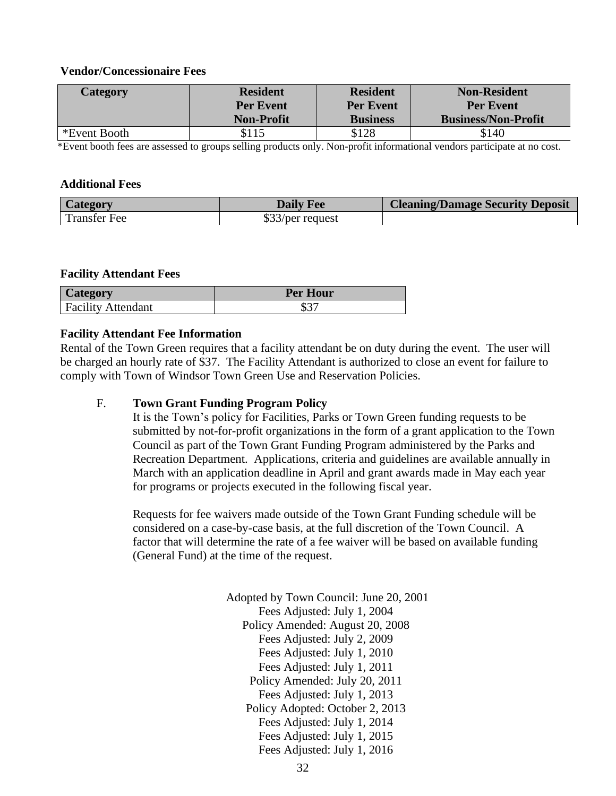#### **Vendor/Concessionaire Fees**

| Category     | <b>Resident</b>   | <b>Resident</b>  | <b>Non-Resident</b>        |
|--------------|-------------------|------------------|----------------------------|
|              | <b>Per Event</b>  | <b>Per Event</b> | <b>Per Event</b>           |
|              | <b>Non-Profit</b> | <b>Business</b>  | <b>Business/Non-Profit</b> |
| *Event Booth | \$115             | \$128            | \$140                      |

\*Event booth fees are assessed to groups selling products only. Non-profit informational vendors participate at no cost.

#### **Additional Fees**

| <b>Category</b>     | <b>Daily Fee</b> | <b>Cleaning/Damage Security Deposit</b> |
|---------------------|------------------|-----------------------------------------|
| <b>Transfer Fee</b> | \$33/per request |                                         |

#### **Facility Attendant Fees**

| Category                  | <b>Per Hour</b> |
|---------------------------|-----------------|
| <b>Facility Attendant</b> | ድን‴<br>JЭ       |

#### **Facility Attendant Fee Information**

Rental of the Town Green requires that a facility attendant be on duty during the event. The user will be charged an hourly rate of \$37. The Facility Attendant is authorized to close an event for failure to comply with Town of Windsor Town Green Use and Reservation Policies.

#### F. **Town Grant Funding Program Policy**

It is the Town's policy for Facilities, Parks or Town Green funding requests to be submitted by not-for-profit organizations in the form of a grant application to the Town Council as part of the Town Grant Funding Program administered by the Parks and Recreation Department. Applications, criteria and guidelines are available annually in March with an application deadline in April and grant awards made in May each year for programs or projects executed in the following fiscal year.

Requests for fee waivers made outside of the Town Grant Funding schedule will be considered on a case-by-case basis, at the full discretion of the Town Council. A factor that will determine the rate of a fee waiver will be based on available funding (General Fund) at the time of the request.

> Adopted by Town Council: June 20, 2001 Fees Adjusted: July 1, 2004 Policy Amended: August 20, 2008 Fees Adjusted: July 2, 2009 Fees Adjusted: July 1, 2010 Fees Adjusted: July 1, 2011 Policy Amended: July 20, 2011 Fees Adjusted: July 1, 2013 Policy Adopted: October 2, 2013 Fees Adjusted: July 1, 2014 Fees Adjusted: July 1, 2015 Fees Adjusted: July 1, 2016